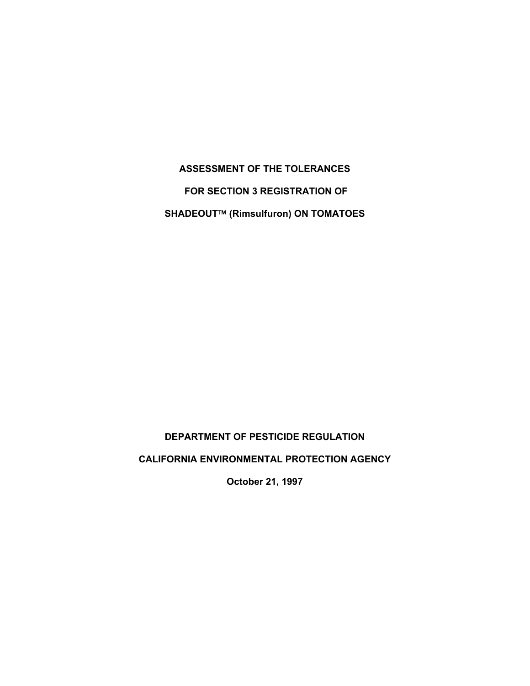**ASSESSMENT OF THE TOLERANCES FOR SECTION 3 REGISTRATION OF SHADEOUT™ (Rimsulfuron) ON TOMATOES** 

# **DEPARTMENT OF PESTICIDE REGULATION**

**CALIFORNIA ENVIRONMENTAL PROTECTION AGENCY** 

**October 21, 1997**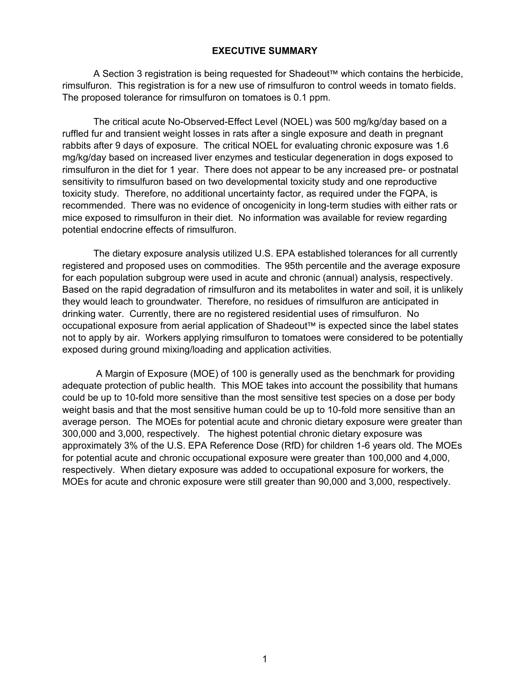### **EXECUTIVE SUMMARY**

A Section 3 registration is being reguested for Shadeout™ which contains the herbicide, rimsulfuron. This registration is for a new use of rimsulfuron to control weeds in tomato fields. The proposed tolerance for rimsulfuron on tomatoes is 0.1 ppm.

The critical acute No-Observed-Effect Level (NOEL) was 500 mg/kg/day based on a ruffled fur and transient weight losses in rats after a single exposure and death in pregnant rabbits after 9 days of exposure. The critical NOEL for evaluating chronic exposure was 1.6 mg/kg/day based on increased liver enzymes and testicular degeneration in dogs exposed to rimsulfuron in the diet for 1 year. There does not appear to be any increased pre- or postnatal sensitivity to rimsulfuron based on two developmental toxicity study and one reproductive toxicity study. Therefore, no additional uncertainty factor, as required under the FQPA, is recommended. There was no evidence of oncogenicity in long-term studies with either rats or mice exposed to rimsulfuron in their diet. No information was available for review regarding potential endocrine effects of rimsulfuron.

The dietary exposure analysis utilized U.S. EPA established tolerances for all currently registered and proposed uses on commodities. The 95th percentile and the average exposure for each population subgroup were used in acute and chronic (annual) analysis, respectively. Based on the rapid degradation of rimsulfuron and its metabolites in water and soil, it is unlikely they would leach to groundwater. Therefore, no residues of rimsulfuron are anticipated in drinking water. Currently, there are no registered residential uses of rimsulfuron. No occupational exposure from aerial application of Shadeout™ is expected since the label states not to apply by air. Workers applying rimsulfuron to tomatoes were considered to be potentially exposed during ground mixing/loading and application activities.

 A Margin of Exposure (MOE) of 100 is generally used as the benchmark for providing adequate protection of public health. This MOE takes into account the possibility that humans could be up to 10-fold more sensitive than the most sensitive test species on a dose per body weight basis and that the most sensitive human could be up to 10-fold more sensitive than an average person. The MOEs for potential acute and chronic dietary exposure were greater than 300,000 and 3,000, respectively. The highest potential chronic dietary exposure was approximately 3% of the U.S. EPA Reference Dose (RfD) for children 1-6 years old. The MOEs for potential acute and chronic occupational exposure were greater than 100,000 and 4,000, respectively. When dietary exposure was added to occupational exposure for workers, the MOEs for acute and chronic exposure were still greater than 90,000 and 3,000, respectively.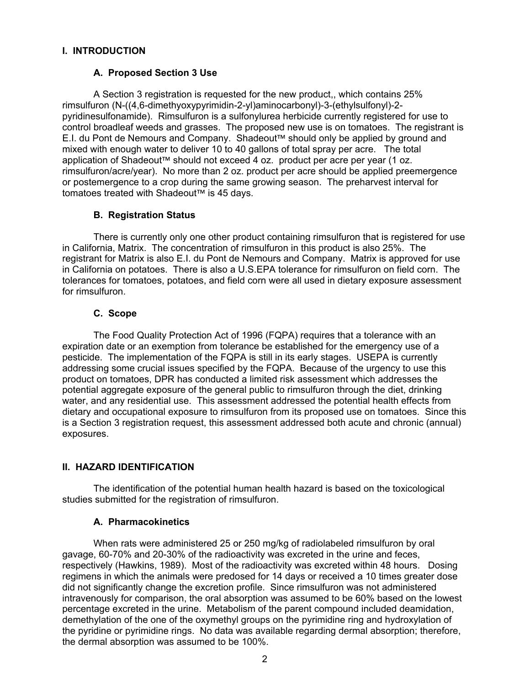# **I. INTRODUCTION**

### **A. Proposed Section 3 Use**

A Section 3 registration is requested for the new product,, which contains 25% rimsulfuron (N-((4,6-dimethyoxypyrimidin-2-yl)aminocarbonyl)-3-(ethylsulfonyl)-2 pyridinesulfonamide). Rimsulfuron is a sulfonylurea herbicide currently registered for use to control broadleaf weeds and grasses. The proposed new use is on tomatoes. The registrant is E.I. du Pont de Nemours and Company. Shadeout™ should only be applied by ground and mixed with enough water to deliver 10 to 40 gallons of total spray per acre. The total application of Shadeout<sup> $M$ </sup> should not exceed 4 oz. product per acre per year (1 oz. rimsulfuron/acre/year). No more than 2 oz. product per acre should be applied preemergence or postemergence to a crop during the same growing season. The preharvest interval for tomatoes treated with Shadeout<sup>™</sup> is 45 days.

# **B. Registration Status**

There is currently only one other product containing rimsulfuron that is registered for use in California, Matrix. The concentration of rimsulfuron in this product is also 25%. The registrant for Matrix is also E.I. du Pont de Nemours and Company. Matrix is approved for use in California on potatoes. There is also a U.S.EPA tolerance for rimsulfuron on field corn. The tolerances for tomatoes, potatoes, and field corn were all used in dietary exposure assessment for rimsulfuron.

### **C. Scope**

The Food Quality Protection Act of 1996 (FQPA) requires that a tolerance with an expiration date or an exemption from tolerance be established for the emergency use of a pesticide. The implementation of the FQPA is still in its early stages. USEPA is currently addressing some crucial issues specified by the FQPA. Because of the urgency to use this product on tomatoes, DPR has conducted a limited risk assessment which addresses the potential aggregate exposure of the general public to rimsulfuron through the diet, drinking water, and any residential use. This assessment addressed the potential health effects from dietary and occupational exposure to rimsulfuron from its proposed use on tomatoes. Since this is a Section 3 registration request, this assessment addressed both acute and chronic (annual) exposures.

# **II. HAZARD IDENTIFICATION**

The identification of the potential human health hazard is based on the toxicological studies submitted for the registration of rimsulfuron.

### **A. Pharmacokinetics**

When rats were administered 25 or 250 mg/kg of radiolabeled rimsulfuron by oral gavage, 60-70% and 20-30% of the radioactivity was excreted in the urine and feces, respectively (Hawkins, 1989). Most of the radioactivity was excreted within 48 hours. Dosing regimens in which the animals were predosed for 14 days or received a 10 times greater dose did not significantly change the excretion profile. Since rimsulfuron was not administered intravenously for comparison, the oral absorption was assumed to be 60% based on the lowest percentage excreted in the urine. Metabolism of the parent compound included deamidation, demethylation of the one of the oxymethyl groups on the pyrimidine ring and hydroxylation of the pyridine or pyrimidine rings. No data was available regarding dermal absorption; therefore, the dermal absorption was assumed to be 100%.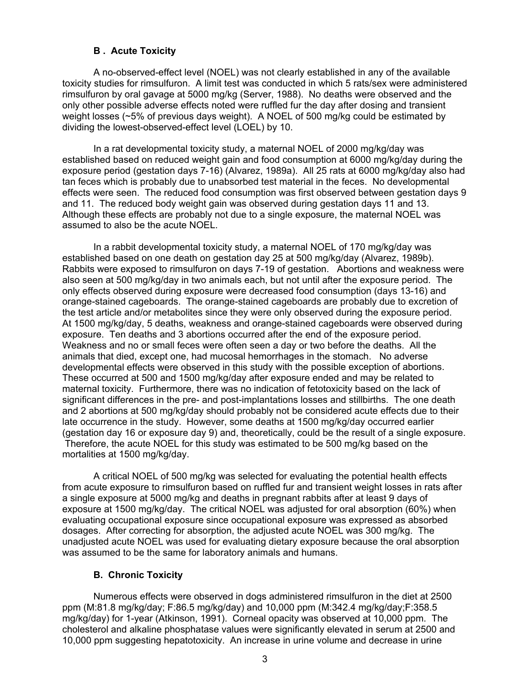### **B . Acute Toxicity**

A no-observed-effect level (NOEL) was not clearly established in any of the available toxicity studies for rimsulfuron. A limit test was conducted in which 5 rats/sex were administered rimsulfuron by oral gavage at 5000 mg/kg (Server, 1988). No deaths were observed and the only other possible adverse effects noted were ruffled fur the day after dosing and transient weight losses (~5% of previous days weight). A NOEL of 500 mg/kg could be estimated by dividing the lowest-observed-effect level (LOEL) by 10.

In a rat developmental toxicity study, a maternal NOEL of 2000 mg/kg/day was established based on reduced weight gain and food consumption at 6000 mg/kg/day during the exposure period (gestation days 7-16) (Alvarez, 1989a). All 25 rats at 6000 mg/kg/day also had tan feces which is probably due to unabsorbed test material in the feces. No developmental effects were seen. The reduced food consumption was first observed between gestation days 9 and 11. The reduced body weight gain was observed during gestation days 11 and 13. Although these effects are probably not due to a single exposure, the maternal NOEL was assumed to also be the acute NOEL.

In a rabbit developmental toxicity study, a maternal NOEL of 170 mg/kg/day was established based on one death on gestation day 25 at 500 mg/kg/day (Alvarez, 1989b). Rabbits were exposed to rimsulfuron on days 7-19 of gestation. Abortions and weakness were also seen at 500 mg/kg/day in two animals each, but not until after the exposure period. The only effects observed during exposure were decreased food consumption (days 13-16) and orange-stained cageboards. The orange-stained cageboards are probably due to excretion of the test article and/or metabolites since they were only observed during the exposure period. At 1500 mg/kg/day, 5 deaths, weakness and orange-stained cageboards were observed during exposure. Ten deaths and 3 abortions occurred after the end of the exposure period. Weakness and no or small feces were often seen a day or two before the deaths. All the animals that died, except one, had mucosal hemorrhages in the stomach. No adverse developmental effects were observed in this study with the possible exception of abortions. These occurred at 500 and 1500 mg/kg/day after exposure ended and may be related to maternal toxicity. Furthermore, there was no indication of fetotoxicity based on the lack of significant differences in the pre- and post-implantations losses and stillbirths. The one death and 2 abortions at 500 mg/kg/day should probably not be considered acute effects due to their late occurrence in the study. However, some deaths at 1500 mg/kg/day occurred earlier (gestation day 16 or exposure day 9) and, theoretically, could be the result of a single exposure. Therefore, the acute NOEL for this study was estimated to be 500 mg/kg based on the mortalities at 1500 mg/kg/day.

A critical NOEL of 500 mg/kg was selected for evaluating the potential health effects from acute exposure to rimsulfuron based on ruffled fur and transient weight losses in rats after a single exposure at 5000 mg/kg and deaths in pregnant rabbits after at least 9 days of exposure at 1500 mg/kg/day. The critical NOEL was adjusted for oral absorption (60%) when evaluating occupational exposure since occupational exposure was expressed as absorbed dosages. After correcting for absorption, the adjusted acute NOEL was 300 mg/kg. The unadjusted acute NOEL was used for evaluating dietary exposure because the oral absorption was assumed to be the same for laboratory animals and humans.

# **B. Chronic Toxicity**

Numerous effects were observed in dogs administered rimsulfuron in the diet at 2500 ppm (M:81.8 mg/kg/day; F:86.5 mg/kg/day) and 10,000 ppm (M:342.4 mg/kg/day;F:358.5 mg/kg/day) for 1-year (Atkinson, 1991). Corneal opacity was observed at 10,000 ppm. The cholesterol and alkaline phosphatase values were significantly elevated in serum at 2500 and 10,000 ppm suggesting hepatotoxicity. An increase in urine volume and decrease in urine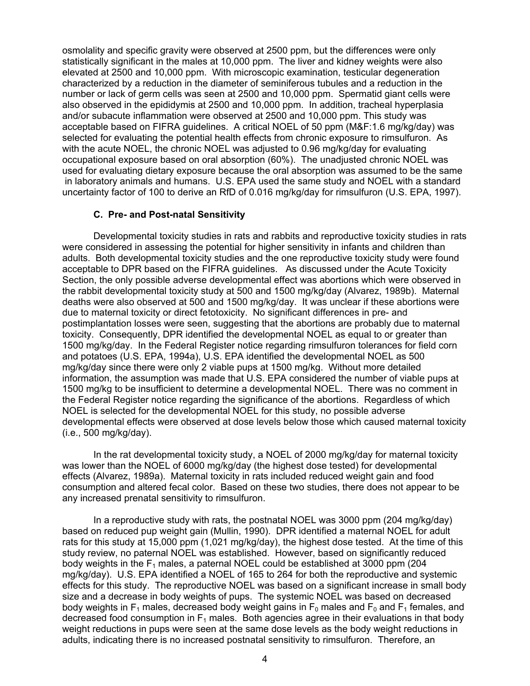osmolality and specific gravity were observed at 2500 ppm, but the differences were only statistically significant in the males at 10,000 ppm. The liver and kidney weights were also elevated at 2500 and 10,000 ppm. With microscopic examination, testicular degeneration characterized by a reduction in the diameter of seminiferous tubules and a reduction in the number or lack of germ cells was seen at 2500 and 10,000 ppm. Spermatid giant cells were also observed in the epididymis at 2500 and 10,000 ppm. In addition, tracheal hyperplasia and/or subacute inflammation were observed at 2500 and 10,000 ppm. This study was acceptable based on FIFRA guidelines. A critical NOEL of 50 ppm (M&F:1.6 mg/kg/day) was selected for evaluating the potential health effects from chronic exposure to rimsulfuron. As with the acute NOEL, the chronic NOEL was adjusted to 0.96 mg/kg/day for evaluating occupational exposure based on oral absorption (60%). The unadjusted chronic NOEL was used for evaluating dietary exposure because the oral absorption was assumed to be the same in laboratory animals and humans. U.S. EPA used the same study and NOEL with a standard uncertainty factor of 100 to derive an RfD of 0.016 mg/kg/day for rimsulfuron (U.S. EPA, 1997).

### **C. Pre- and Post-natal Sensitivity**

Developmental toxicity studies in rats and rabbits and reproductive toxicity studies in rats were considered in assessing the potential for higher sensitivity in infants and children than adults. Both developmental toxicity studies and the one reproductive toxicity study were found acceptable to DPR based on the FIFRA guidelines. As discussed under the Acute Toxicity Section, the only possible adverse developmental effect was abortions which were observed in the rabbit developmental toxicity study at 500 and 1500 mg/kg/day (Alvarez, 1989b). Maternal deaths were also observed at 500 and 1500 mg/kg/day. It was unclear if these abortions were due to maternal toxicity or direct fetotoxicity. No significant differences in pre- and postimplantation losses were seen, suggesting that the abortions are probably due to maternal toxicity. Consequently, DPR identified the developmental NOEL as equal to or greater than 1500 mg/kg/day. In the Federal Register notice regarding rimsulfuron tolerances for field corn and potatoes (U.S. EPA, 1994a), U.S. EPA identified the developmental NOEL as 500 mg/kg/day since there were only 2 viable pups at 1500 mg/kg. Without more detailed information, the assumption was made that U.S. EPA considered the number of viable pups at 1500 mg/kg to be insufficient to determine a developmental NOEL. There was no comment in the Federal Register notice regarding the significance of the abortions. Regardless of which NOEL is selected for the developmental NOEL for this study, no possible adverse developmental effects were observed at dose levels below those which caused maternal toxicity (i.e., 500 mg/kg/day).

In the rat developmental toxicity study, a NOEL of 2000 mg/kg/day for maternal toxicity was lower than the NOEL of 6000 mg/kg/day (the highest dose tested) for developmental effects (Alvarez, 1989a). Maternal toxicity in rats included reduced weight gain and food consumption and altered fecal color. Based on these two studies, there does not appear to be any increased prenatal sensitivity to rimsulfuron.

In a reproductive study with rats, the postnatal NOEL was 3000 ppm (204 mg/kg/day) based on reduced pup weight gain (Mullin, 1990). DPR identified a maternal NOEL for adult rats for this study at 15,000 ppm (1,021 mg/kg/day), the highest dose tested. At the time of this study review, no paternal NOEL was established. However, based on significantly reduced body weights in the  $F_1$  males, a paternal NOEL could be established at 3000 ppm (204) mg/kg/day). U.S. EPA identified a NOEL of 165 to 264 for both the reproductive and systemic effects for this study. The reproductive NOEL was based on a significant increase in small body size and a decrease in body weights of pups. The systemic NOEL was based on decreased body weights in F<sub>1</sub> males, decreased body weight gains in F<sub>0</sub> males and F<sub>0</sub> and F<sub>1</sub> females, and decreased food consumption in  $F_1$  males. Both agencies agree in their evaluations in that body weight reductions in pups were seen at the same dose levels as the body weight reductions in adults, indicating there is no increased postnatal sensitivity to rimsulfuron. Therefore, an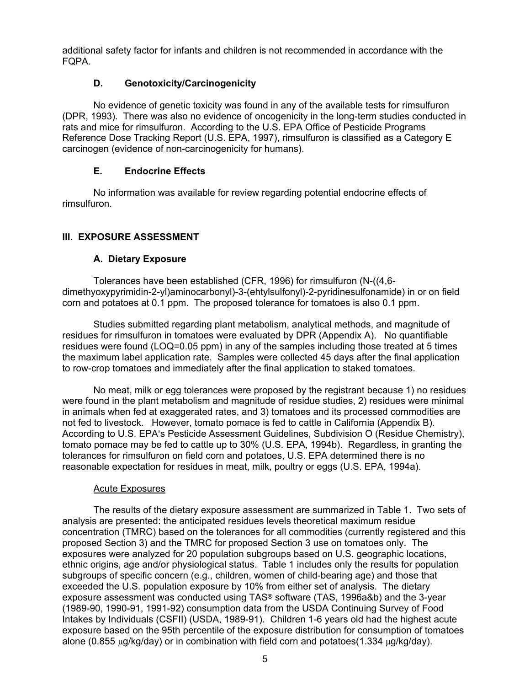additional safety factor for infants and children is not recommended in accordance with the FQPA.

# **D. Genotoxicity/Carcinogenicity**

No evidence of genetic toxicity was found in any of the available tests for rimsulfuron (DPR, 1993). There was also no evidence of oncogenicity in the long-term studies conducted in rats and mice for rimsulfuron. According to the U.S. EPA Office of Pesticide Programs Reference Dose Tracking Report (U.S. EPA, 1997), rimsulfuron is classified as a Category E carcinogen (evidence of non-carcinogenicity for humans).

### **E. Endocrine Effects**

No information was available for review regarding potential endocrine effects of rimsulfuron.

# **III. EXPOSURE ASSESSMENT**

### **A. Dietary Exposure**

Tolerances have been established (CFR, 1996) for rimsulfuron (N-((4,6 dimethyoxypyrimidin-2-yl)aminocarbonyl)-3-(ehtylsulfonyl)-2-pyridinesulfonamide) in or on field corn and potatoes at 0.1 ppm. The proposed tolerance for tomatoes is also 0.1 ppm.

Studies submitted regarding plant metabolism, analytical methods, and magnitude of residues for rimsulfuron in tomatoes were evaluated by DPR (Appendix A). No quantifiable residues were found (LOQ=0.05 ppm) in any of the samples including those treated at 5 times the maximum label application rate. Samples were collected 45 days after the final application to row-crop tomatoes and immediately after the final application to staked tomatoes.

No meat, milk or egg tolerances were proposed by the registrant because 1) no residues were found in the plant metabolism and magnitude of residue studies, 2) residues were minimal in animals when fed at exaggerated rates, and 3) tomatoes and its processed commodities are not fed to livestock. However, tomato pomace is fed to cattle in California (Appendix B). According to U.S. EPA's Pesticide Assessment Guidelines, Subdivision O (Residue Chemistry), tomato pomace may be fed to cattle up to 30% (U.S. EPA, 1994b). Regardless, in granting the tolerances for rimsulfuron on field corn and potatoes, U.S. EPA determined there is no reasonable expectation for residues in meat, milk, poultry or eggs (U.S. EPA, 1994a).

### Acute Exposures

The results of the dietary exposure assessment are summarized in Table 1. Two sets of analysis are presented: the anticipated residues levels theoretical maximum residue concentration (TMRC) based on the tolerances for all commodities (currently registered and this proposed Section 3) and the TMRC for proposed Section 3 use on tomatoes only. The exposures were analyzed for 20 population subgroups based on U.S. geographic locations, ethnic origins, age and/or physiological status. Table 1 includes only the results for population subgroups of specific concern (e.g., children, women of child-bearing age) and those that exceeded the U.S. population exposure by 10% from either set of analysis. The dietary exposure assessment was conducted using TAS® software (TAS, 1996a&b) and the 3-year (1989-90, 1990-91, 1991-92) consumption data from the USDA Continuing Survey of Food Intakes by Individuals (CSFII) (USDA, 1989-91). Children 1-6 years old had the highest acute exposure based on the 95th percentile of the exposure distribution for consumption of tomatoes alone (0.855  $\mu$ g/kg/day) or in combination with field corn and potatoes(1.334  $\mu$ g/kg/day).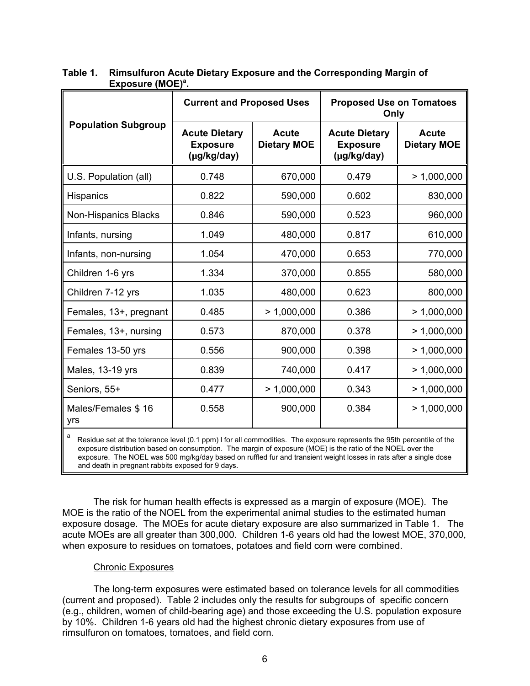|                             | <b>Current and Proposed Uses</b>                                                             |             | <b>Proposed Use on Tomatoes</b><br>Only                |                                    |  |
|-----------------------------|----------------------------------------------------------------------------------------------|-------------|--------------------------------------------------------|------------------------------------|--|
| <b>Population Subgroup</b>  | <b>Acute Dietary</b><br><b>Acute</b><br><b>Dietary MOE</b><br><b>Exposure</b><br>(µg/kg/day) |             | <b>Acute Dietary</b><br><b>Exposure</b><br>(µg/kg/day) | <b>Acute</b><br><b>Dietary MOE</b> |  |
| U.S. Population (all)       | 0.748                                                                                        | 670,000     | 0.479                                                  | > 1,000,000                        |  |
| <b>Hispanics</b>            | 0.822                                                                                        | 590,000     | 0.602                                                  | 830,000                            |  |
| <b>Non-Hispanics Blacks</b> | 0.846                                                                                        | 590,000     | 0.523                                                  | 960,000                            |  |
| Infants, nursing            | 1.049                                                                                        | 480,000     | 0.817                                                  | 610,000                            |  |
| Infants, non-nursing        | 1.054                                                                                        | 470,000     | 0.653                                                  | 770,000                            |  |
| Children 1-6 yrs            | 1.334                                                                                        | 370,000     | 0.855                                                  | 580,000                            |  |
| Children 7-12 yrs           | 1.035                                                                                        | 480,000     | 0.623                                                  | 800,000                            |  |
| Females, 13+, pregnant      | 0.485                                                                                        | > 1,000,000 | 0.386                                                  | > 1,000,000                        |  |
| Females, 13+, nursing       | 0.573                                                                                        | 870,000     | 0.378                                                  | > 1,000,000                        |  |
| Females 13-50 yrs           | 0.556                                                                                        | 900,000     | 0.398                                                  | > 1,000,000                        |  |
| Males, 13-19 yrs            | 0.839                                                                                        | 740,000     | 0.417                                                  | > 1,000,000                        |  |
| Seniors, 55+                | 0.477                                                                                        | > 1,000,000 | 0.343                                                  | > 1,000,000                        |  |
| Males/Females \$16<br>yrs   | 0.558                                                                                        | 900,000     | 0.384                                                  | > 1,000,000                        |  |

# **Table 1. Rimsulfuron Acute Dietary Exposure and the Corresponding Margin of**  Exposure (MOE)<sup>a</sup>.

Residue set at the tolerance level (0.1 ppm) I for all commodities. The exposure represents the 95th percentile of the exposure distribution based on consumption. The margin of exposure (MOE) is the ratio of the NOEL over the exposure. The NOEL was 500 mg/kg/day based on ruffled fur and transient weight losses in rats after a single dose and death in pregnant rabbits exposed for 9 days.

The risk for human health effects is expressed as a margin of exposure (MOE). The MOE is the ratio of the NOEL from the experimental animal studies to the estimated human exposure dosage. The MOEs for acute dietary exposure are also summarized in Table 1. The acute MOEs are all greater than 300,000. Children 1-6 years old had the lowest MOE, 370,000, when exposure to residues on tomatoes, potatoes and field corn were combined.

### Chronic Exposures

The long-term exposures were estimated based on tolerance levels for all commodities (current and proposed). Table 2 includes only the results for subgroups of specific concern (e.g., children, women of child-bearing age) and those exceeding the U.S. population exposure by 10%. Children 1-6 years old had the highest chronic dietary exposures from use of rimsulfuron on tomatoes, tomatoes, and field corn.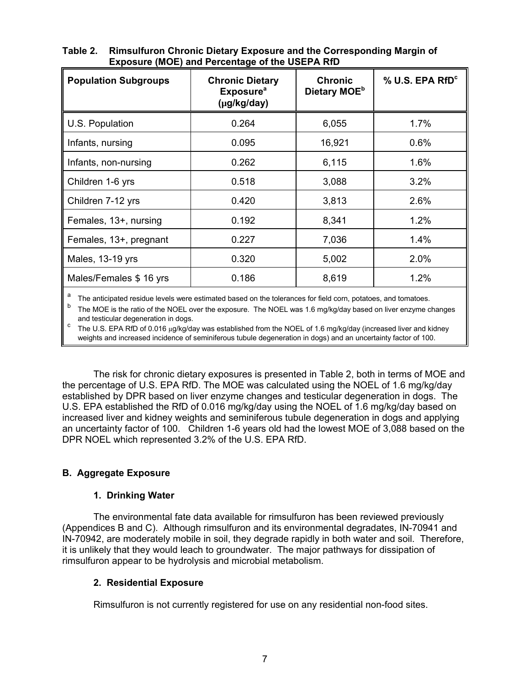| <b>Population Subgroups</b> | <b>Chronic Dietary</b><br><b>Exposure</b> <sup>a</sup><br>(µg/kg/day) | <b>Chronic</b><br>Dietary MOE <sup>b</sup> | % U.S. EPA RfD <sup>c</sup> |  |
|-----------------------------|-----------------------------------------------------------------------|--------------------------------------------|-----------------------------|--|
| U.S. Population             | 0.264                                                                 | 6,055                                      | 1.7%                        |  |
| Infants, nursing            | 0.095                                                                 | 16,921                                     | 0.6%                        |  |
| Infants, non-nursing        | 0.262                                                                 | 6,115                                      | 1.6%                        |  |
| Children 1-6 yrs            | 0.518                                                                 | 3,088                                      | 3.2%                        |  |
| Children 7-12 yrs           | 0.420                                                                 | 3,813                                      | 2.6%                        |  |
| Females, 13+, nursing       | 0.192                                                                 | 8,341                                      | 1.2%                        |  |
| Females, 13+, pregnant      | 0.227                                                                 | 7,036                                      | 1.4%                        |  |
| Males, 13-19 yrs            | 0.320                                                                 | 5,002                                      | 2.0%                        |  |
| Males/Females \$16 yrs      | 0.186                                                                 | 8,619                                      | 1.2%                        |  |

**Table 2. Rimsulfuron Chronic Dietary Exposure and the Corresponding Margin of Exposure (MOE) and Percentage of the USEPA RfD** 

The anticipated residue levels were estimated based on the tolerances for field corn, potatoes, and tomatoes.

The MOE is the ratio of the NOEL over the exposure. The NOEL was 1.6 mg/kg/day based on liver enzyme changes and testicular degeneration in dogs.

<sup>c</sup> The U.S. EPA RfD of 0.016 µg/kg/day was established from the NOEL of 1.6 mg/kg/day (increased liver and kidney weights and increased incidence of seminiferous tubule degeneration in dogs) and an uncertainty factor of 100.

The risk for chronic dietary exposures is presented in Table 2, both in terms of MOE and the percentage of U.S. EPA RfD. The MOE was calculated using the NOEL of 1.6 mg/kg/day established by DPR based on liver enzyme changes and testicular degeneration in dogs. The U.S. EPA established the RfD of 0.016 mg/kg/day using the NOEL of 1.6 mg/kg/day based on increased liver and kidney weights and seminiferous tubule degeneration in dogs and applying an uncertainty factor of 100. Children 1-6 years old had the lowest MOE of 3,088 based on the DPR NOEL which represented 3.2% of the U.S. EPA RfD.

# **B. Aggregate Exposure**

# **1. Drinking Water**

The environmental fate data available for rimsulfuron has been reviewed previously (Appendices B and C). Although rimsulfuron and its environmental degradates, IN-70941 and IN-70942, are moderately mobile in soil, they degrade rapidly in both water and soil. Therefore, it is unlikely that they would leach to groundwater. The major pathways for dissipation of rimsulfuron appear to be hydrolysis and microbial metabolism.

# **2. Residential Exposure**

Rimsulfuron is not currently registered for use on any residential non-food sites.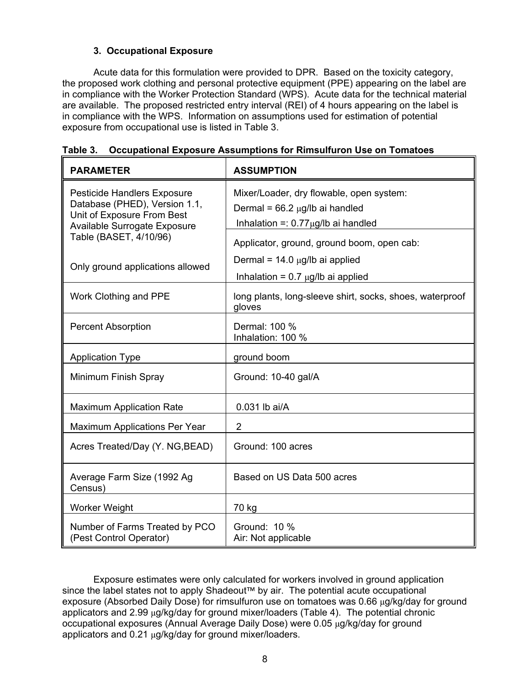# **3. Occupational Exposure**

Acute data for this formulation were provided to DPR. Based on the toxicity category, the proposed work clothing and personal protective equipment (PPE) appearing on the label are in compliance with the Worker Protection Standard (WPS). Acute data for the technical material are available. The proposed restricted entry interval (REI) of 4 hours appearing on the label is in compliance with the WPS. Information on assumptions used for estimation of potential exposure from occupational use is listed in Table 3.

| <b>PARAMETER</b>                                                                                                                                            | <b>ASSUMPTION</b>                                                                                                            |  |  |  |  |
|-------------------------------------------------------------------------------------------------------------------------------------------------------------|------------------------------------------------------------------------------------------------------------------------------|--|--|--|--|
| <b>Pesticide Handlers Exposure</b><br>Database (PHED), Version 1.1,<br>Unit of Exposure From Best<br>Available Surrogate Exposure<br>Table (BASET, 4/10/96) | Mixer/Loader, dry flowable, open system:<br>Dermal = $66.2 \mu g/lb$ ai handled<br>Inhalation =: $0.77 \mu g$ /lb ai handled |  |  |  |  |
| Only ground applications allowed                                                                                                                            | Applicator, ground, ground boom, open cab:<br>Dermal = $14.0 \mu g/lb$ ai applied<br>Inhalation = $0.7 \mu g/lb$ ai applied  |  |  |  |  |
| Work Clothing and PPE                                                                                                                                       | long plants, long-sleeve shirt, socks, shoes, waterproof<br>gloves                                                           |  |  |  |  |
| <b>Percent Absorption</b>                                                                                                                                   | Dermal: 100 %<br>Inhalation: 100 %                                                                                           |  |  |  |  |
| <b>Application Type</b>                                                                                                                                     | ground boom                                                                                                                  |  |  |  |  |
| Minimum Finish Spray                                                                                                                                        | Ground: 10-40 gal/A                                                                                                          |  |  |  |  |
| <b>Maximum Application Rate</b>                                                                                                                             | 0.031 lb ai/A                                                                                                                |  |  |  |  |
| <b>Maximum Applications Per Year</b>                                                                                                                        | $\overline{2}$                                                                                                               |  |  |  |  |
| Acres Treated/Day (Y. NG, BEAD)                                                                                                                             | Ground: 100 acres                                                                                                            |  |  |  |  |
| Average Farm Size (1992 Ag<br>Census)                                                                                                                       | Based on US Data 500 acres                                                                                                   |  |  |  |  |
| Worker Weight                                                                                                                                               | 70 kg                                                                                                                        |  |  |  |  |
| Number of Farms Treated by PCO<br>(Pest Control Operator)                                                                                                   | Ground: 10 %<br>Air: Not applicable                                                                                          |  |  |  |  |

**Table 3. Occupational Exposure Assumptions for Rimsulfuron Use on Tomatoes** 

Exposure estimates were only calculated for workers involved in ground application since the label states not to apply Shadeout™ by air. The potential acute occupational exposure (Absorbed Daily Dose) for rimsulfuron use on tomatoes was 0.66 µg/kg/day for ground applicators and 2.99 µg/kg/day for ground mixer/loaders (Table 4). The potential chronic occupational exposures (Annual Average Daily Dose) were 0.05 µg/kg/day for ground applicators and 0.21 µg/kg/day for ground mixer/loaders.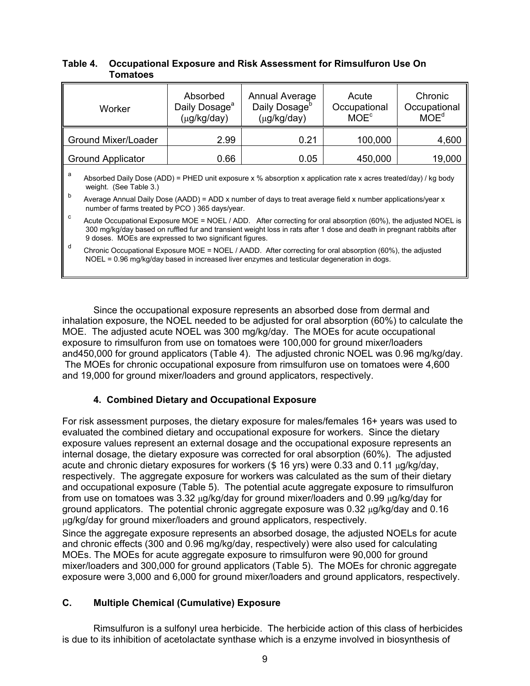| Absorbed<br>Daily Dosage <sup>a</sup><br>(µg/kg/day) | <b>Annual Average</b><br>Daily Dosage <sup>b</sup><br>(µg/kg/day) | Acute<br>Occupational<br>$MOE^c$ | Chronic<br>Occupational<br>MOE <sup>d</sup> |  |
|------------------------------------------------------|-------------------------------------------------------------------|----------------------------------|---------------------------------------------|--|
| 2.99                                                 | 0.21                                                              | 100,000                          | 4,600                                       |  |
| 0.66                                                 | 0.05                                                              | 450,000                          | 19,000                                      |  |
|                                                      |                                                                   |                                  |                                             |  |

### **Table 4. Occupational Exposure and Risk Assessment for Rimsulfuron Use On Tomatoes**

Absorbed Daily Dose (ADD) = PHED unit exposure x % absorption x application rate x acres treated/day) / kg body weight. (See Table 3.)

 $\overline{b}$  Average Annual Daily Dose (AADD) = ADD x number of days to treat average field x number applications/year x number of farms treated by PCO ) 365 days/year.

Acute Occupational Exposure MOE = NOEL / ADD. After correcting for oral absorption (60%), the adjusted NOEL is 300 mg/kg/day based on ruffled fur and transient weight loss in rats after 1 dose and death in pregnant rabbits after 9 doses. MOEs are expressed to two significant figures.

Chronic Occupational Exposure MOE = NOEL / AADD. After correcting for oral absorption (60%), the adjusted NOEL = 0.96 mg/kg/day based in increased liver enzymes and testicular degeneration in dogs.

Since the occupational exposure represents an absorbed dose from dermal and inhalation exposure, the NOEL needed to be adjusted for oral absorption (60%) to calculate the MOE. The adjusted acute NOEL was 300 mg/kg/day. The MOEs for acute occupational exposure to rimsulfuron from use on tomatoes were 100,000 for ground mixer/loaders and450,000 for ground applicators (Table 4). The adjusted chronic NOEL was 0.96 mg/kg/day. The MOEs for chronic occupational exposure from rimsulfuron use on tomatoes were 4,600 and 19,000 for ground mixer/loaders and ground applicators, respectively.

# **4. Combined Dietary and Occupational Exposure**

For risk assessment purposes, the dietary exposure for males/females 16+ years was used to evaluated the combined dietary and occupational exposure for workers. Since the dietary exposure values represent an external dosage and the occupational exposure represents an internal dosage, the dietary exposure was corrected for oral absorption (60%). The adjusted acute and chronic dietary exposures for workers  $(\$ 16$  yrs) were 0.33 and 0.11  $\mu$ g/kg/day, respectively. The aggregate exposure for workers was calculated as the sum of their dietary and occupational exposure (Table 5). The potential acute aggregate exposure to rimsulfuron from use on tomatoes was 3.32  $\mu q / \kappa q / \frac{dq}{dq}$  for ground mixer/loaders and 0.99  $\mu q / \kappa q / \frac{dq}{dq}$  for ground applicators. The potential chronic aggregate exposure was 0.32 µg/kg/day and 0.16 µg/kg/day for ground mixer/loaders and ground applicators, respectively.

Since the aggregate exposure represents an absorbed dosage, the adjusted NOELs for acute and chronic effects (300 and 0.96 mg/kg/day, respectively) were also used for calculating MOEs. The MOEs for acute aggregate exposure to rimsulfuron were 90,000 for ground mixer/loaders and 300,000 for ground applicators (Table 5). The MOEs for chronic aggregate exposure were 3,000 and 6,000 for ground mixer/loaders and ground applicators, respectively.

# **C. Multiple Chemical (Cumulative) Exposure**

Rimsulfuron is a sulfonyl urea herbicide. The herbicide action of this class of herbicides is due to its inhibition of acetolactate synthase which is a enzyme involved in biosynthesis of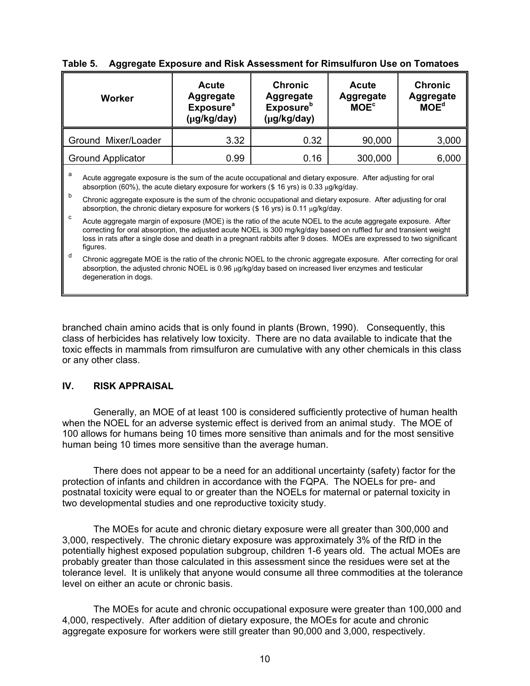| Worker                   | <b>Acute</b><br><b>Aggregate</b><br><b>Exposure</b> <sup>a</sup><br>(µg/kg/day) | <b>Chronic</b><br><b>Aggregate</b><br><b>Exposure</b> <sup>b</sup><br>(µg/kg/day) | <b>Acute</b><br><b>Aggregate</b><br>MOE <sup>c</sup> | <b>Chronic</b><br><b>Aggregate</b><br>MOE <sup>d</sup> |
|--------------------------|---------------------------------------------------------------------------------|-----------------------------------------------------------------------------------|------------------------------------------------------|--------------------------------------------------------|
| Ground Mixer/Loader      | 3.32                                                                            | 0.32                                                                              | 90,000                                               | 3,000                                                  |
| <b>Ground Applicator</b> | 0.99                                                                            | 0.16                                                                              | 300,000                                              | 6,000                                                  |

# **Table 5. Aggregate Exposure and Risk Assessment for Rimsulfuron Use on Tomatoes**

Acute aggregate exposure is the sum of the acute occupational and dietary exposure. After adjusting for oral absorption (60%), the acute dietary exposure for workers (\$ 16 yrs) is 0.33 µg/kg/day.

b Chronic aggregate exposure is the sum of the chronic occupational and dietary exposure. After adjusting for oral absorption, the chronic dietary exposure for workers (\$ 16 yrs) is 0.11 µg/kg/day.

Acute aggregate margin of exposure (MOE) is the ratio of the acute NOEL to the acute aggregate exposure. After correcting for oral absorption, the adjusted acute NOEL is 300 mg/kg/day based on ruffled fur and transient weight loss in rats after a single dose and death in a pregnant rabbits after 9 doses. MOEs are expressed to two significant figures.

d Chronic aggregate MOE is the ratio of the chronic NOEL to the chronic aggregate exposure. After correcting for oral absorption, the adjusted chronic NOEL is 0.96 µg/kg/day based on increased liver enzymes and testicular degeneration in dogs.

branched chain amino acids that is only found in plants (Brown, 1990). Consequently, this class of herbicides has relatively low toxicity. There are no data available to indicate that the toxic effects in mammals from rimsulfuron are cumulative with any other chemicals in this class or any other class.

# **IV. RISK APPRAISAL**

Generally, an MOE of at least 100 is considered sufficiently protective of human health when the NOEL for an adverse systemic effect is derived from an animal study. The MOE of 100 allows for humans being 10 times more sensitive than animals and for the most sensitive human being 10 times more sensitive than the average human.

There does not appear to be a need for an additional uncertainty (safety) factor for the protection of infants and children in accordance with the FQPA. The NOELs for pre- and postnatal toxicity were equal to or greater than the NOELs for maternal or paternal toxicity in two developmental studies and one reproductive toxicity study.

The MOEs for acute and chronic dietary exposure were all greater than 300,000 and 3,000, respectively. The chronic dietary exposure was approximately 3% of the RfD in the potentially highest exposed population subgroup, children 1-6 years old. The actual MOEs are probably greater than those calculated in this assessment since the residues were set at the tolerance level. It is unlikely that anyone would consume all three commodities at the tolerance level on either an acute or chronic basis.

The MOEs for acute and chronic occupational exposure were greater than 100,000 and 4,000, respectively. After addition of dietary exposure, the MOEs for acute and chronic aggregate exposure for workers were still greater than 90,000 and 3,000, respectively.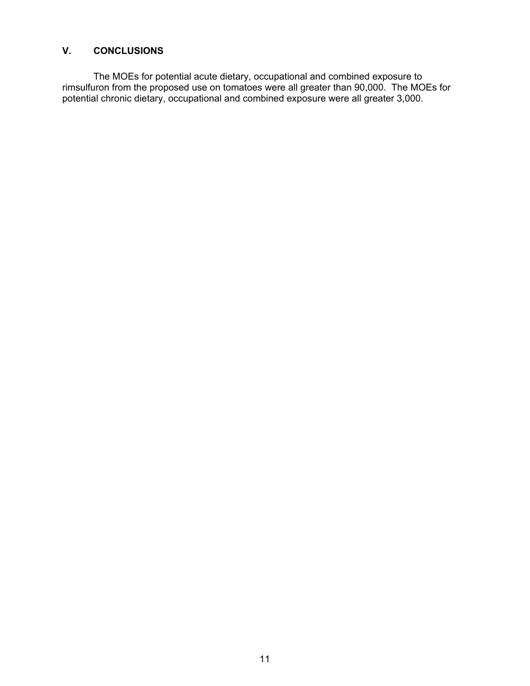# **V. CONCLUSIONS**

The MOEs for potential acute dietary, occupational and combined exposure to rimsulfuron from the proposed use on tomatoes were all greater than 90,000. The MOEs for potential chronic dietary, occupational and combined exposure were all greater 3,000.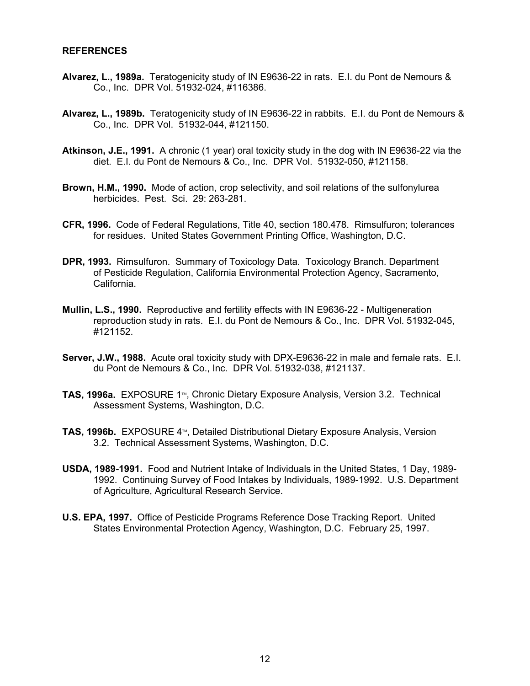#### **REFERENCES**

- **Alvarez, L., 1989a.** Teratogenicity study of IN E9636-22 in rats. E.I. du Pont de Nemours & Co., Inc. DPR Vol. 51932-024, #116386.
- **Alvarez, L., 1989b.** Teratogenicity study of IN E9636-22 in rabbits. E.I. du Pont de Nemours & Co., Inc. DPR Vol. 51932-044, #121150.
- **Atkinson, J.E., 1991.** A chronic (1 year) oral toxicity study in the dog with IN E9636-22 via the diet. E.I. du Pont de Nemours & Co., Inc. DPR Vol. 51932-050, #121158.
- **Brown, H.M., 1990.** Mode of action, crop selectivity, and soil relations of the sulfonylurea herbicides. Pest. Sci. 29: 263-281.
- **CFR, 1996.** Code of Federal Regulations, Title 40, section 180.478. Rimsulfuron; tolerances for residues. United States Government Printing Office, Washington, D.C.
- **DPR, 1993.** Rimsulfuron. Summary of Toxicology Data. Toxicology Branch. Department of Pesticide Regulation, California Environmental Protection Agency, Sacramento, California.
- **Mullin, L.S., 1990.** Reproductive and fertility effects with IN E9636-22 Multigeneration reproduction study in rats. E.I. du Pont de Nemours & Co., Inc. DPR Vol. 51932-045, #121152.
- **Server, J.W., 1988.** Acute oral toxicity study with DPX-E9636-22 in male and female rats. E.I. du Pont de Nemours & Co., Inc. DPR Vol. 51932-038, #121137.
- **TAS, 1996a.** EXPOSURE 1<sup>™</sup>, Chronic Dietary Exposure Analysis, Version 3.2. Technical Assessment Systems, Washington, D.C.
- **TAS, 1996b.** EXPOSURE 4<sup>™</sup>, Detailed Distributional Dietary Exposure Analysis, Version 3.2. Technical Assessment Systems, Washington, D.C.
- **USDA, 1989-1991.** Food and Nutrient Intake of Individuals in the United States, 1 Day, 1989- 1992. Continuing Survey of Food Intakes by Individuals, 1989-1992. U.S. Department of Agriculture, Agricultural Research Service.
- **U.S. EPA, 1997.** Office of Pesticide Programs Reference Dose Tracking Report. United States Environmental Protection Agency, Washington, D.C. February 25, 1997.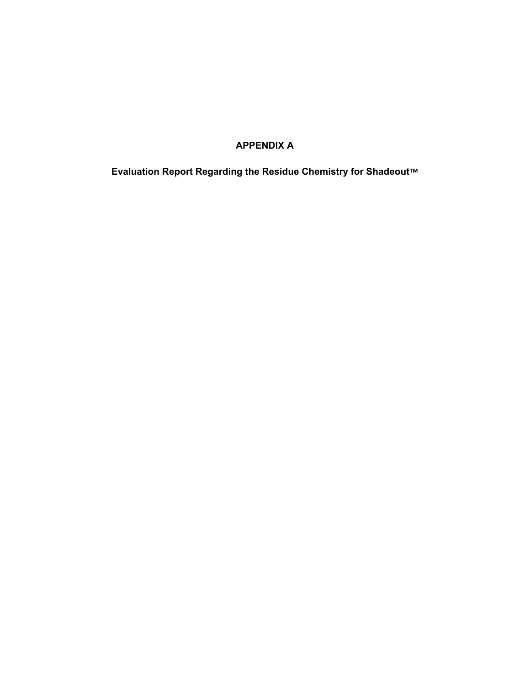# **APPENDIX A**

**Evaluation Report Regarding the Residue Chemistry for Shadeout™**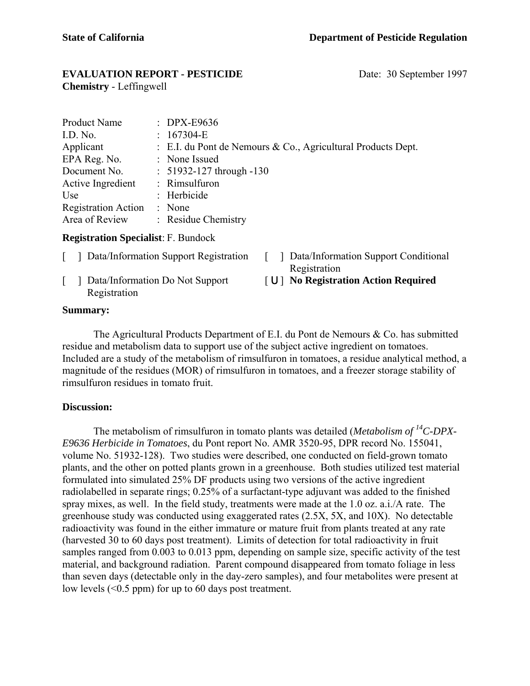# **EVALUATION REPORT - PESTICIDE** Date: 30 September 1997

**Chemistry** - Leffingwell

| <b>Product Name</b>        | $\therefore$ DPX-E9636                                       |
|----------------------------|--------------------------------------------------------------|
| I.D. No.                   | $: 167304-E$                                                 |
| Applicant                  | : E.I. du Pont de Nemours & Co., Agricultural Products Dept. |
| EPA Reg. No.               | : None Issued                                                |
| Document No.               | $: 51932 - 127$ through $-130$                               |
| Active Ingredient          | : Rimsulfuron                                                |
| Use                        | : Herbicide                                                  |
| <b>Registration Action</b> | : None                                                       |
| Area of Review             | : Residue Chemistry                                          |

# **Registration Specialist**: F. Bundock

- [ ] Data/Information Support Registration [ ] Data/Information Support Conditional
- Registration
- Registration

[ ] Data/Information Do Not Support [ U] **No Registration Action Required** 

# **Summary:**

The Agricultural Products Department of E.I. du Pont de Nemours & Co. has submitted residue and metabolism data to support use of the subject active ingredient on tomatoes. Included are a study of the metabolism of rimsulfuron in tomatoes, a residue analytical method, a magnitude of the residues (MOR) of rimsulfuron in tomatoes, and a freezer storage stability of rimsulfuron residues in tomato fruit.

# **Discussion:**

The metabolism of rimsulfuron in tomato plants was detailed (*Metabolism of 14C-DPX-E9636 Herbicide in Tomatoes*, du Pont report No. AMR 3520-95, DPR record No. 155041, volume No. 51932-128). Two studies were described, one conducted on field-grown tomato plants, and the other on potted plants grown in a greenhouse. Both studies utilized test material formulated into simulated 25% DF products using two versions of the active ingredient radiolabelled in separate rings; 0.25% of a surfactant-type adjuvant was added to the finished spray mixes, as well. In the field study, treatments were made at the 1.0 oz. a.i./A rate. The greenhouse study was conducted using exaggerated rates (2.5X, 5X, and 10X). No detectable radioactivity was found in the either immature or mature fruit from plants treated at any rate (harvested 30 to 60 days post treatment). Limits of detection for total radioactivity in fruit samples ranged from 0.003 to 0.013 ppm, depending on sample size, specific activity of the test material, and background radiation. Parent compound disappeared from tomato foliage in less than seven days (detectable only in the day-zero samples), and four metabolites were present at low levels  $( $0.5$  ppm) for up to 60 days post treatment.$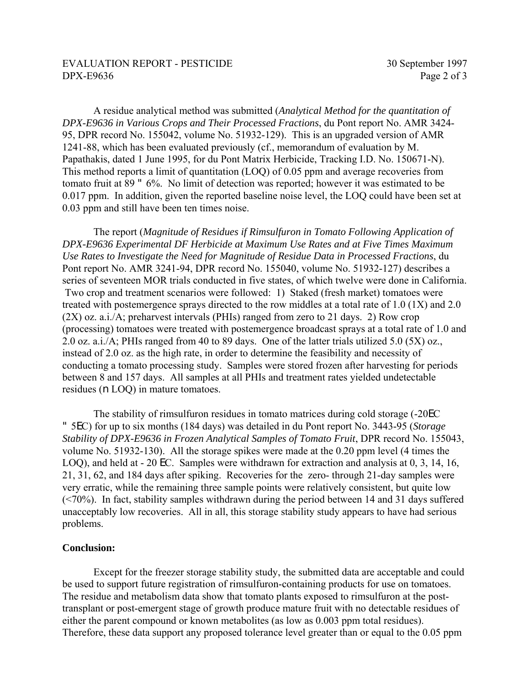# EVALUATION REPORT - PESTICIDE 30 September 1997 DPX-E9636 Page 2 of 3

A residue analytical method was submitted (*Analytical Method for the quantitation of DPX-E9636 in Various Crops and Their Processed Fractions*, du Pont report No. AMR 3424- 95, DPR record No. 155042, volume No. 51932-129). This is an upgraded version of AMR 1241-88, which has been evaluated previously (cf., memorandum of evaluation by M. Papathakis, dated 1 June 1995, for du Pont Matrix Herbicide, Tracking I.D. No. 150671-N). This method reports a limit of quantitation (LOQ) of 0.05 ppm and average recoveries from tomato fruit at 89 " 6%. No limit of detection was reported; however it was estimated to be 0.017 ppm. In addition, given the reported baseline noise level, the LOQ could have been set at 0.03 ppm and still have been ten times noise.

The report (*Magnitude of Residues if Rimsulfuron in Tomato Following Application of DPX-E9636 Experimental DF Herbicide at Maximum Use Rates and at Five Times Maximum Use Rates to Investigate the Need for Magnitude of Residue Data in Processed Fractions*, du Pont report No. AMR 3241-94, DPR record No. 155040, volume No. 51932-127) describes a series of seventeen MOR trials conducted in five states, of which twelve were done in California. Two crop and treatment scenarios were followed: 1) Staked (fresh market) tomatoes were treated with postemergence sprays directed to the row middles at a total rate of 1.0 (1X) and 2.0 (2X) oz. a.i./A; preharvest intervals (PHIs) ranged from zero to 21 days. 2) Row crop (processing) tomatoes were treated with postemergence broadcast sprays at a total rate of 1.0 and 2.0 oz. a.i./A; PHIs ranged from 40 to 89 days. One of the latter trials utilized 5.0 (5X) oz., instead of 2.0 oz. as the high rate, in order to determine the feasibility and necessity of conducting a tomato processing study. Samples were stored frozen after harvesting for periods between 8 and 157 days. All samples at all PHIs and treatment rates yielded undetectable residues (n LOQ) in mature tomatoes.

The stability of rimsulfuron residues in tomato matrices during cold storage (-20EC " 5EC) for up to six months (184 days) was detailed in du Pont report No. 3443-95 (*Storage Stability of DPX-E9636 in Frozen Analytical Samples of Tomato Fruit*, DPR record No. 155043, volume No. 51932-130). All the storage spikes were made at the 0.20 ppm level (4 times the LOQ), and held at - 20 EC. Samples were withdrawn for extraction and analysis at 0, 3, 14, 16, 21, 31, 62, and 184 days after spiking. Recoveries for the zero- through 21-day samples were very erratic, while the remaining three sample points were relatively consistent, but quite low (<70%). In fact, stability samples withdrawn during the period between 14 and 31 days suffered unacceptably low recoveries. All in all, this storage stability study appears to have had serious problems.

# **Conclusion:**

Except for the freezer storage stability study, the submitted data are acceptable and could be used to support future registration of rimsulfuron-containing products for use on tomatoes. The residue and metabolism data show that tomato plants exposed to rimsulfuron at the posttransplant or post-emergent stage of growth produce mature fruit with no detectable residues of either the parent compound or known metabolites (as low as 0.003 ppm total residues). Therefore, these data support any proposed tolerance level greater than or equal to the 0.05 ppm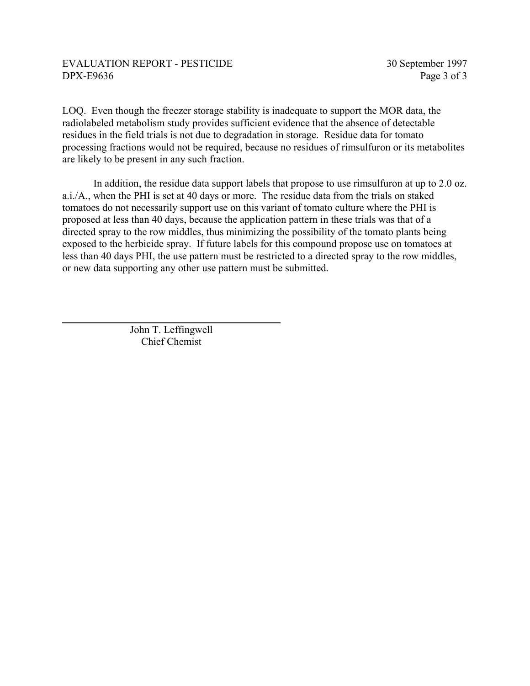LOQ. Even though the freezer storage stability is inadequate to support the MOR data, the radiolabeled metabolism study provides sufficient evidence that the absence of detectable residues in the field trials is not due to degradation in storage. Residue data for tomato processing fractions would not be required, because no residues of rimsulfuron or its metabolites are likely to be present in any such fraction.

In addition, the residue data support labels that propose to use rimsulfuron at up to 2.0 oz. a.i./A., when the PHI is set at 40 days or more. The residue data from the trials on staked tomatoes do not necessarily support use on this variant of tomato culture where the PHI is proposed at less than 40 days, because the application pattern in these trials was that of a directed spray to the row middles, thus minimizing the possibility of the tomato plants being exposed to the herbicide spray. If future labels for this compound propose use on tomatoes at less than 40 days PHI, the use pattern must be restricted to a directed spray to the row middles, or new data supporting any other use pattern must be submitted.

> John T. Leffingwell Chief Chemist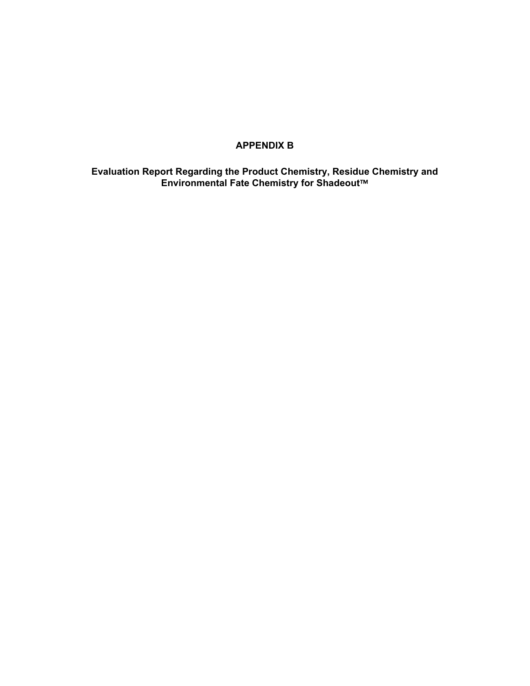# **APPENDIX B**

**Evaluation Report Regarding the Product Chemistry, Residue Chemistry and Environmental Fate Chemistry for Shadeout™**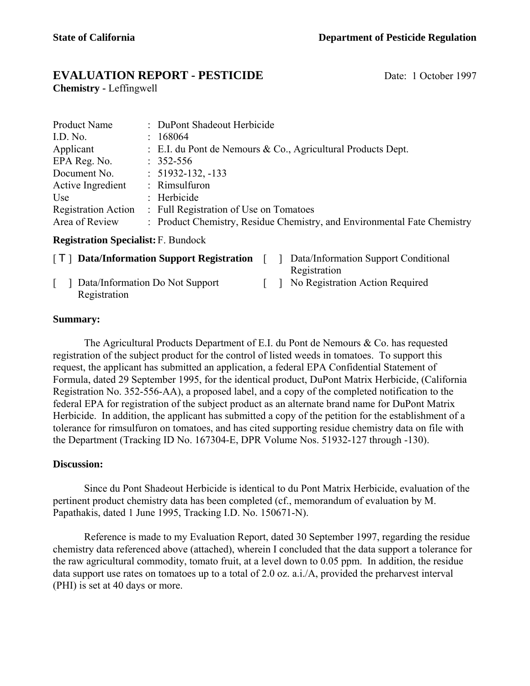# **EVALUATION REPORT - PESTICIDE** Date: 1 October 1997

**Chemistry -** Leffingwell

| <b>Product Name</b>        | : DuPont Shadeout Herbicide                                              |
|----------------------------|--------------------------------------------------------------------------|
| I.D. No.                   | : 168064                                                                 |
| Applicant                  | : E.I. du Pont de Nemours & Co., Agricultural Products Dept.             |
| EPA Reg. No.               | $: 352 - 556$                                                            |
| Document No.               | $: 51932 - 132, -133$                                                    |
| Active Ingredient          | : Rimsulfuron                                                            |
| Use                        | : Herbicide                                                              |
| <b>Registration Action</b> | : Full Registration of Use on Tomatoes                                   |
| Area of Review             | : Product Chemistry, Residue Chemistry, and Environmental Fate Chemistry |

# **Registration Specialist:** F. Bundock

| [ <b>T</b> ] Data/Information Support Registration |  | Data/Information Support Conditional            |
|----------------------------------------------------|--|-------------------------------------------------|
| Data/Information Do Not Support<br>Registration    |  | Registration<br>No Registration Action Required |

# **Summary:**

The Agricultural Products Department of E.I. du Pont de Nemours & Co. has requested registration of the subject product for the control of listed weeds in tomatoes. To support this request, the applicant has submitted an application, a federal EPA Confidential Statement of Formula, dated 29 September 1995, for the identical product, DuPont Matrix Herbicide, (California Registration No. 352-556-AA), a proposed label, and a copy of the completed notification to the federal EPA for registration of the subject product as an alternate brand name for DuPont Matrix Herbicide. In addition, the applicant has submitted a copy of the petition for the establishment of a tolerance for rimsulfuron on tomatoes, and has cited supporting residue chemistry data on file with the Department (Tracking ID No. 167304-E, DPR Volume Nos. 51932-127 through -130).

# **Discussion:**

Since du Pont Shadeout Herbicide is identical to du Pont Matrix Herbicide, evaluation of the pertinent product chemistry data has been completed (cf., memorandum of evaluation by M. Papathakis, dated 1 June 1995, Tracking I.D. No. 150671-N).

Reference is made to my Evaluation Report, dated 30 September 1997, regarding the residue chemistry data referenced above (attached), wherein I concluded that the data support a tolerance for the raw agricultural commodity, tomato fruit, at a level down to 0.05 ppm. In addition, the residue data support use rates on tomatoes up to a total of 2.0 oz. a.i./A, provided the preharvest interval (PHI) is set at 40 days or more.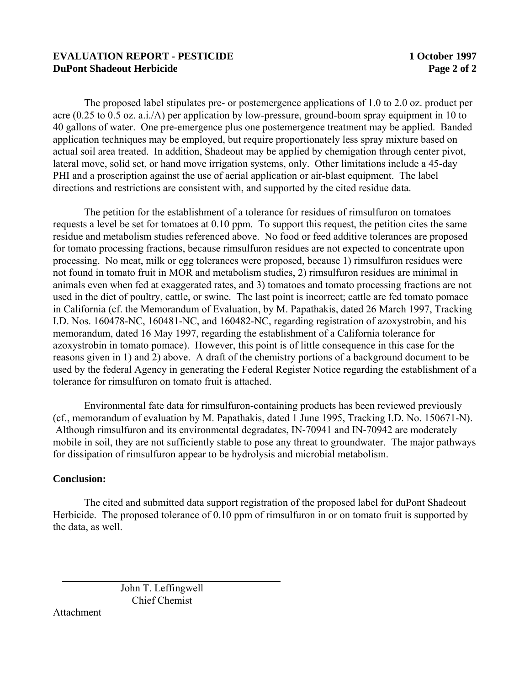# **EVALUATION REPORT - PESTICIDE 1 October 1997 DuPont Shadeout Herbicide**  Page 2 of 2

The proposed label stipulates pre- or postemergence applications of 1.0 to 2.0 oz. product per acre (0.25 to 0.5 oz. a.i./A) per application by low-pressure, ground-boom spray equipment in 10 to 40 gallons of water. One pre-emergence plus one postemergence treatment may be applied. Banded application techniques may be employed, but require proportionately less spray mixture based on actual soil area treated. In addition, Shadeout may be applied by chemigation through center pivot, lateral move, solid set, or hand move irrigation systems, only. Other limitations include a 45-day PHI and a proscription against the use of aerial application or air-blast equipment. The label directions and restrictions are consistent with, and supported by the cited residue data.

The petition for the establishment of a tolerance for residues of rimsulfuron on tomatoes requests a level be set for tomatoes at 0.10 ppm. To support this request, the petition cites the same residue and metabolism studies referenced above. No food or feed additive tolerances are proposed for tomato processing fractions, because rimsulfuron residues are not expected to concentrate upon processing. No meat, milk or egg tolerances were proposed, because 1) rimsulfuron residues were not found in tomato fruit in MOR and metabolism studies, 2) rimsulfuron residues are minimal in animals even when fed at exaggerated rates, and 3) tomatoes and tomato processing fractions are not used in the diet of poultry, cattle, or swine. The last point is incorrect; cattle are fed tomato pomace in California (cf. the Memorandum of Evaluation, by M. Papathakis, dated 26 March 1997, Tracking I.D. Nos. 160478-NC, 160481-NC, and 160482-NC, regarding registration of azoxystrobin, and his memorandum, dated 16 May 1997, regarding the establishment of a California tolerance for azoxystrobin in tomato pomace). However, this point is of little consequence in this case for the reasons given in 1) and 2) above. A draft of the chemistry portions of a background document to be used by the federal Agency in generating the Federal Register Notice regarding the establishment of a tolerance for rimsulfuron on tomato fruit is attached.

Environmental fate data for rimsulfuron-containing products has been reviewed previously (cf., memorandum of evaluation by M. Papathakis, dated 1 June 1995, Tracking I.D. No. 150671-N). Although rimsulfuron and its environmental degradates, IN-70941 and IN-70942 are moderately mobile in soil, they are not sufficiently stable to pose any threat to groundwater. The major pathways for dissipation of rimsulfuron appear to be hydrolysis and microbial metabolism.

# **Conclusion:**

The cited and submitted data support registration of the proposed label for duPont Shadeout Herbicide. The proposed tolerance of 0.10 ppm of rimsulfuron in or on tomato fruit is supported by the data, as well.

> John T. Leffingwell Chief Chemist

Attachment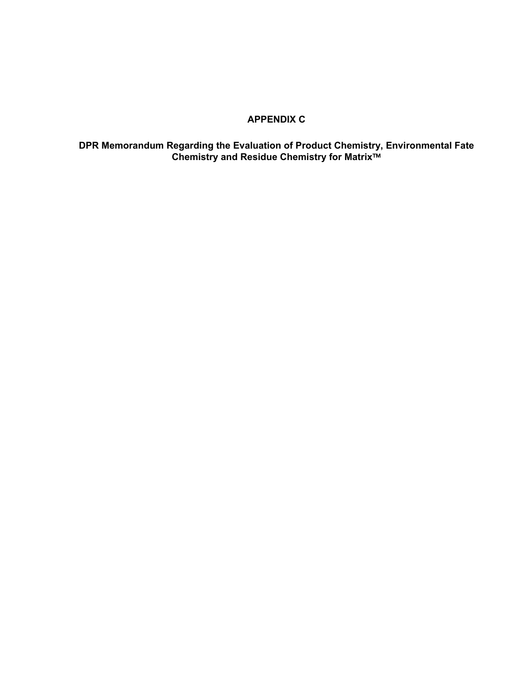# **APPENDIX C**

# **DPR Memorandum Regarding the Evaluation of Product Chemistry, Environmental Fate Chemistry and Residue Chemistry for Matrix™**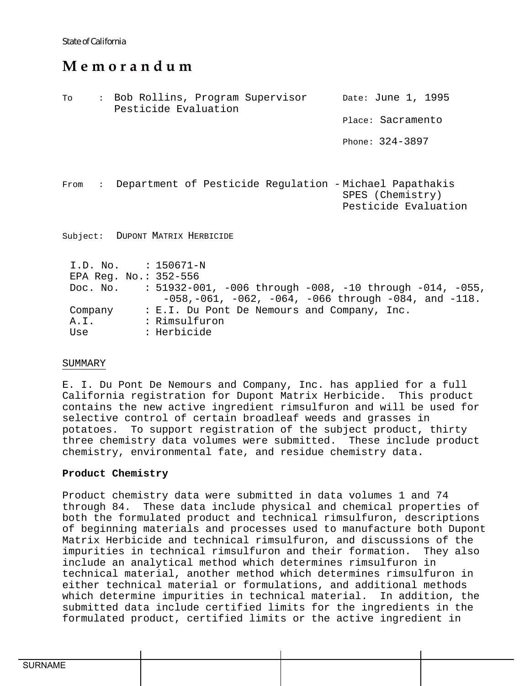# **M e m o r a n d u m**

To : Bob Rollins, Program Supervisor Pesticide Evaluation Date: June 1, 1995 Place: Sacramento Phone: 324-3897 From : Department of Pesticide Regulation - Michael Papathakis SPES (Chemistry) Pesticide Evaluation Subject: DUPONT MATRIX HERBICIDE I.D. No. : 150671-N EPA Reg. No.: 352-556 Doc. No. : 51932-001, -006 through -008, -10 through -014, -055,  $-058, -061, -062, -064, -066$  through  $-084,$  and  $-118.$ Company : E.I. Du Pont De Nemours and Company, Inc. A.I. : Rimsulfuron

# Use : Herbicide

### SUMMARY

E. I. Du Pont De Nemours and Company, Inc. has applied for a full California registration for Dupont Matrix Herbicide. This product contains the new active ingredient rimsulfuron and will be used for selective control of certain broadleaf weeds and grasses in potatoes. To support registration of the subject product, thirty three chemistry data volumes were submitted. These include product chemistry, environmental fate, and residue chemistry data.

### **Product Chemistry**

Product chemistry data were submitted in data volumes 1 and 74 through 84. These data include physical and chemical properties of both the formulated product and technical rimsulfuron, descriptions of beginning materials and processes used to manufacture both Dupont Matrix Herbicide and technical rimsulfuron, and discussions of the impurities in technical rimsulfuron and their formation. They also include an analytical method which determines rimsulfuron in technical material, another method which determines rimsulfuron in either technical material or formulations, and additional methods which determine impurities in technical material. In addition, the submitted data include certified limits for the ingredients in the formulated product, certified limits or the active ingredient in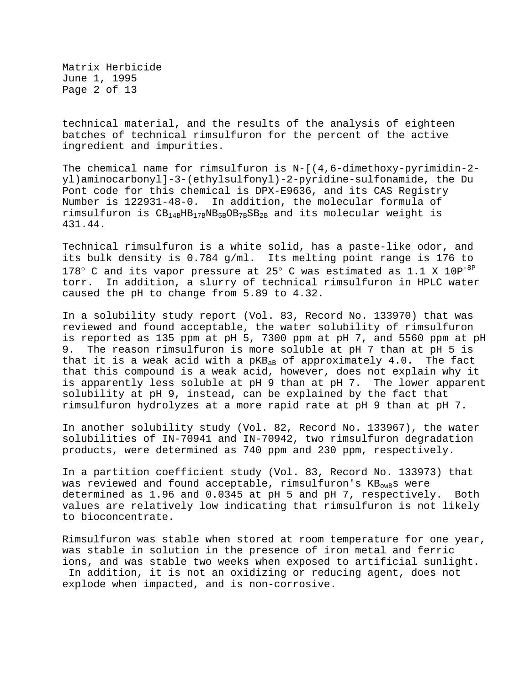Matrix Herbicide June 1, 1995 Page 2 of 13

technical material, and the results of the analysis of eighteen batches of technical rimsulfuron for the percent of the active ingredient and impurities.

The chemical name for rimsulfuron is N-[(4,6-dimethoxy-pyrimidin-2 yl)aminocarbonyl]-3-(ethylsulfonyl)-2-pyridine-sulfonamide, the Du Pont code for this chemical is DPX-E9636, and its CAS Registry Number is 122931-48-0. In addition, the molecular formula of rimsulfuron is  $CB_{14B}HB_{17B}NB_{5B}OB_{7B}SB_{2B}$  and its molecular weight is 431.44.

Technical rimsulfuron is a white solid, has a paste-like odor, and its bulk density is 0.784 g/ml. Its melting point range is 176 to 178° C and its vapor pressure at 25° C was estimated as 1.1 X 10P<sup>-8P</sup> torr. In addition, a slurry of technical rimsulfuron in HPLC water caused the pH to change from 5.89 to 4.32.

In a solubility study report (Vol. 83, Record No. 133970) that was reviewed and found acceptable, the water solubility of rimsulfuron is reported as 135 ppm at pH 5, 7300 ppm at pH 7, and 5560 ppm at pH 9. The reason rimsulfuron is more soluble at pH 7 than at pH 5 is that it is a weak acid with a  $pKB_{AB}$  of approximately  $4.0$ . The fact that this compound is a weak acid, however, does not explain why it is apparently less soluble at pH 9 than at pH 7. The lower apparent solubility at pH 9, instead, can be explained by the fact that rimsulfuron hydrolyzes at a more rapid rate at pH 9 than at pH 7.

In another solubility study (Vol. 82, Record No. 133967), the water solubilities of IN-70941 and IN-70942, two rimsulfuron degradation products, were determined as 740 ppm and 230 ppm, respectively.

In a partition coefficient study (Vol. 83, Record No. 133973) that was reviewed and found acceptable, rimsulfuron's  $KB_{\text{owB}}s$  were determined as 1.96 and 0.0345 at pH 5 and pH 7, respectively. Both values are relatively low indicating that rimsulfuron is not likely to bioconcentrate.

Rimsulfuron was stable when stored at room temperature for one year, was stable in solution in the presence of iron metal and ferric ions, and was stable two weeks when exposed to artificial sunlight. In addition, it is not an oxidizing or reducing agent, does not explode when impacted, and is non-corrosive.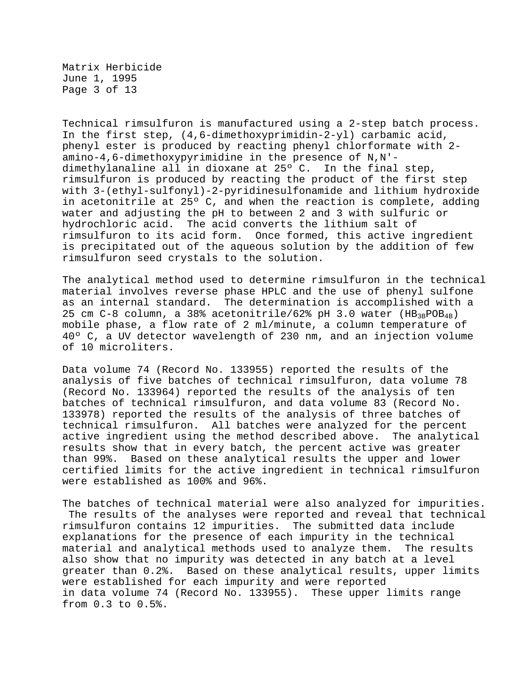Matrix Herbicide June 1, 1995 Page 3 of 13

Technical rimsulfuron is manufactured using a 2-step batch process. In the first step, (4,6-dimethoxyprimidin-2-yl) carbamic acid, phenyl ester is produced by reacting phenyl chlorformate with 2 amino-4,6-dimethoxypyrimidine in the presence of N,N' dimethylanaline all in dioxane at 25º C. In the final step, rimsulfuron is produced by reacting the product of the first step with 3-(ethyl-sulfonyl)-2-pyridinesulfonamide and lithium hydroxide in acetonitrile at 25º C, and when the reaction is complete, adding water and adjusting the pH to between 2 and 3 with sulfuric or hydrochloric acid. The acid converts the lithium salt of rimsulfuron to its acid form. Once formed, this active ingredient is precipitated out of the aqueous solution by the addition of few rimsulfuron seed crystals to the solution.

The analytical method used to determine rimsulfuron in the technical material involves reverse phase HPLC and the use of phenyl sulfone as an internal standard. The determination is accomplished with a 25 cm C-8 column, a 38% acetonitrile/62% pH 3.0 water  $(HB_{3B}POB_{4B})$ mobile phase, a flow rate of 2 ml/minute, a column temperature of 40º C, a UV detector wavelength of 230 nm, and an injection volume of 10 microliters.

Data volume 74 (Record No. 133955) reported the results of the analysis of five batches of technical rimsulfuron, data volume 78 (Record No. 133964) reported the results of the analysis of ten batches of technical rimsulfuron, and data volume 83 (Record No. 133978) reported the results of the analysis of three batches of technical rimsulfuron. All batches were analyzed for the percent active ingredient using the method described above. The analytical results show that in every batch, the percent active was greater than 99%. Based on these analytical results the upper and lower certified limits for the active ingredient in technical rimsulfuron were established as 100% and 96%.

The batches of technical material were also analyzed for impurities. The results of the analyses were reported and reveal that technical rimsulfuron contains 12 impurities. The submitted data include explanations for the presence of each impurity in the technical material and analytical methods used to analyze them. The results also show that no impurity was detected in any batch at a level greater than 0.2%. Based on these analytical results, upper limits were established for each impurity and were reported in data volume 74 (Record No. 133955). These upper limits range from 0.3 to 0.5%.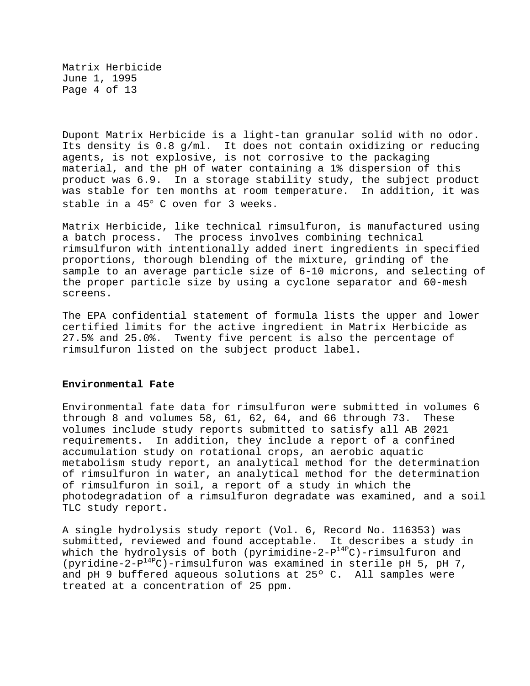Matrix Herbicide June 1, 1995 Page 4 of 13

Dupont Matrix Herbicide is a light-tan granular solid with no odor. Its density is 0.8 g/ml. It does not contain oxidizing or reducing agents, is not explosive, is not corrosive to the packaging material, and the pH of water containing a 1% dispersion of this product was 6.9. In a storage stability study, the subject product was stable for ten months at room temperature. In addition, it was stable in a 45° C oven for 3 weeks.

Matrix Herbicide, like technical rimsulfuron, is manufactured using a batch process. The process involves combining technical rimsulfuron with intentionally added inert ingredients in specified proportions, thorough blending of the mixture, grinding of the sample to an average particle size of 6-10 microns, and selecting of the proper particle size by using a cyclone separator and 60-mesh screens.

The EPA confidential statement of formula lists the upper and lower certified limits for the active ingredient in Matrix Herbicide as 27.5% and 25.0%. Twenty five percent is also the percentage of rimsulfuron listed on the subject product label.

#### **Environmental Fate**

Environmental fate data for rimsulfuron were submitted in volumes 6 through 8 and volumes 58, 61, 62, 64, and 66 through 73. These volumes include study reports submitted to satisfy all AB 2021 requirements. In addition, they include a report of a confined accumulation study on rotational crops, an aerobic aquatic metabolism study report, an analytical method for the determination of rimsulfuron in water, an analytical method for the determination of rimsulfuron in soil, a report of a study in which the photodegradation of a rimsulfuron degradate was examined, and a soil TLC study report.

A single hydrolysis study report (Vol. 6, Record No. 116353) was submitted, reviewed and found acceptable. It describes a study in which the hydrolysis of both (pyrimidine-2- $P^{14P}C$ )-rimsulfuron and (pyridine-2- $P^{14P}C$ )-rimsulfuron was examined in sterile pH 5, pH 7, and pH 9 buffered aqueous solutions at 25º C. All samples were treated at a concentration of 25 ppm.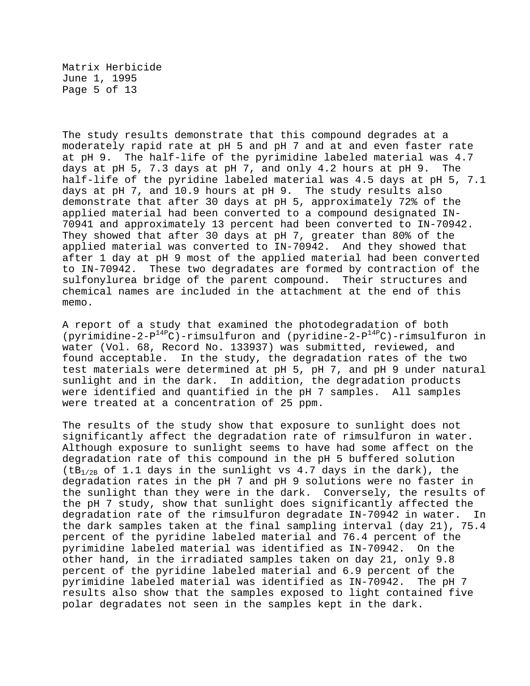Matrix Herbicide June 1, 1995 Page 5 of 13

The study results demonstrate that this compound degrades at a moderately rapid rate at pH 5 and pH 7 and at and even faster rate at pH 9. The half-life of the pyrimidine labeled material was 4.7 days at pH 5, 7.3 days at pH 7, and only 4.2 hours at pH 9. The half-life of the pyridine labeled material was 4.5 days at pH 5, 7.1 days at pH 7, and 10.9 hours at pH 9. The study results also demonstrate that after 30 days at pH 5, approximately 72% of the applied material had been converted to a compound designated IN-70941 and approximately 13 percent had been converted to IN-70942. They showed that after 30 days at pH 7, greater than 80% of the applied material was converted to IN-70942. And they showed that after 1 day at pH 9 most of the applied material had been converted to IN-70942. These two degradates are formed by contraction of the sulfonylurea bridge of the parent compound. Their structures and chemical names are included in the attachment at the end of this memo.

A report of a study that examined the photodegradation of both (pyrimidine-2- $P^{14P}C$ )-rimsulfuron and (pyridine-2- $P^{14P}C$ )-rimsulfuron in water (Vol. 68, Record No. 133937) was submitted, reviewed, and found acceptable. In the study, the degradation rates of the two test materials were determined at pH 5, pH 7, and pH 9 under natural sunlight and in the dark. In addition, the degradation products were identified and quantified in the pH 7 samples. All samples were treated at a concentration of 25 ppm.

The results of the study show that exposure to sunlight does not significantly affect the degradation rate of rimsulfuron in water. Although exposure to sunlight seems to have had some affect on the degradation rate of this compound in the pH 5 buffered solution  $(tB<sub>1/2B</sub>$  of 1.1 days in the sunlight vs 4.7 days in the dark), the degradation rates in the pH 7 and pH 9 solutions were no faster in the sunlight than they were in the dark. Conversely, the results of the pH 7 study, show that sunlight does significantly affected the degradation rate of the rimsulfuron degradate IN-70942 in water. In the dark samples taken at the final sampling interval (day 21), 75.4 percent of the pyridine labeled material and 76.4 percent of the pyrimidine labeled material was identified as IN-70942. On the other hand, in the irradiated samples taken on day 21, only 9.8 percent of the pyridine labeled material and 6.9 percent of the pyrimidine labeled material was identified as IN-70942. The pH 7 results also show that the samples exposed to light contained five polar degradates not seen in the samples kept in the dark.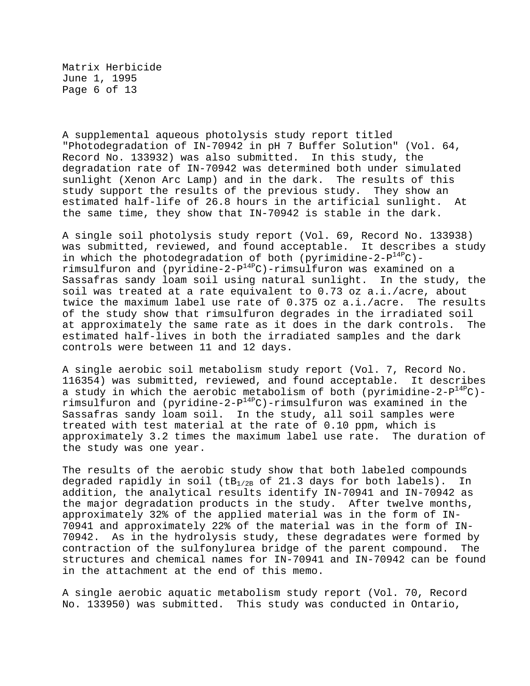Matrix Herbicide June 1, 1995 Page 6 of 13

A supplemental aqueous photolysis study report titled "Photodegradation of IN-70942 in pH 7 Buffer Solution" (Vol. 64, Record No. 133932) was also submitted. In this study, the degradation rate of IN-70942 was determined both under simulated sunlight (Xenon Arc Lamp) and in the dark. The results of this study support the results of the previous study. They show an estimated half-life of 26.8 hours in the artificial sunlight. At the same time, they show that IN-70942 is stable in the dark.

A single soil photolysis study report (Vol. 69, Record No. 133938) was submitted, reviewed, and found acceptable. It describes a study in which the photodegradation of both (pyrimidine-2- $P^{14P}C$ )rimsulfuron and (pyridine-2- $P^{14P}C$ )-rimsulfuron was examined on a Sassafras sandy loam soil using natural sunlight. In the study, the soil was treated at a rate equivalent to 0.73 oz a.i./acre, about twice the maximum label use rate of 0.375 oz a.i./acre. The results of the study show that rimsulfuron degrades in the irradiated soil at approximately the same rate as it does in the dark controls. The estimated half-lives in both the irradiated samples and the dark controls were between 11 and 12 days.

A single aerobic soil metabolism study report (Vol. 7, Record No. 116354) was submitted, reviewed, and found acceptable. It describes a study in which the aerobic metabolism of both (pyrimidine-2- $P^{14P}C$ )rimsulfuron and (pyridine-2-P14PC)-rimsulfuron was examined in the Sassafras sandy loam soil. In the study, all soil samples were treated with test material at the rate of 0.10 ppm, which is approximately 3.2 times the maximum label use rate. The duration of the study was one year.

The results of the aerobic study show that both labeled compounds degraded rapidly in soil ( $LB_{1/2B}$  of 21.3 days for both labels). In addition, the analytical results identify IN-70941 and IN-70942 as the major degradation products in the study. After twelve months, approximately 32% of the applied material was in the form of IN-70941 and approximately 22% of the material was in the form of IN-70942. As in the hydrolysis study, these degradates were formed by contraction of the sulfonylurea bridge of the parent compound. The structures and chemical names for IN-70941 and IN-70942 can be found in the attachment at the end of this memo.

A single aerobic aquatic metabolism study report (Vol. 70, Record No. 133950) was submitted. This study was conducted in Ontario,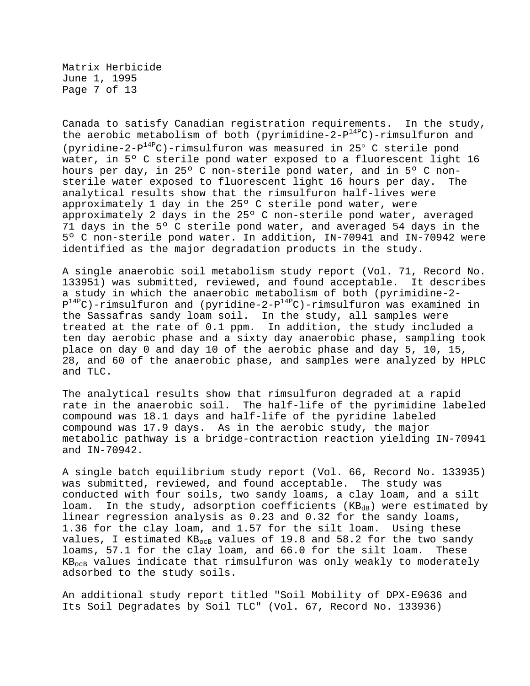Matrix Herbicide June 1, 1995 Page 7 of 13

Canada to satisfy Canadian registration requirements. In the study, the aerobic metabolism of both (pyrimidine-2-P<sup>14P</sup>C)-rimsulfuron and (pyridine-2- $P^{14P}C$ )-rimsulfuron was measured in 25° C sterile pond water, in 5º C sterile pond water exposed to a fluorescent light 16 hours per day, in 25º C non-sterile pond water, and in 5º C nonsterile water exposed to fluorescent light 16 hours per day. The analytical results show that the rimsulfuron half-lives were approximately 1 day in the 25º C sterile pond water, were approximately 2 days in the 25º C non-sterile pond water, averaged 71 days in the 5º C sterile pond water, and averaged 54 days in the 5º C non-sterile pond water. In addition, IN-70941 and IN-70942 were identified as the major degradation products in the study.

A single anaerobic soil metabolism study report (Vol. 71, Record No. 133951) was submitted, reviewed, and found acceptable. It describes a study in which the anaerobic metabolism of both (pyrimidine-2-  $P^{14P}C$ )-rimsulfuron and (pyridine-2- $P^{14P}C$ )-rimsulfuron was examined in the Sassafras sandy loam soil. In the study, all samples were treated at the rate of 0.1 ppm. In addition, the study included a ten day aerobic phase and a sixty day anaerobic phase, sampling took place on day 0 and day 10 of the aerobic phase and day 5, 10, 15, 28, and 60 of the anaerobic phase, and samples were analyzed by HPLC and TLC.

The analytical results show that rimsulfuron degraded at a rapid rate in the anaerobic soil. The half-life of the pyrimidine labeled compound was 18.1 days and half-life of the pyridine labeled compound was 17.9 days. As in the aerobic study, the major metabolic pathway is a bridge-contraction reaction yielding IN-70941 and IN-70942.

A single batch equilibrium study report (Vol. 66, Record No. 133935) was submitted, reviewed, and found acceptable. The study was conducted with four soils, two sandy loams, a clay loam, and a silt loam. In the study, adsorption coefficients  $(KB_{dB})$  were estimated by linear regression analysis as 0.23 and 0.32 for the sandy loams, 1.36 for the clay loam, and 1.57 for the silt loam. Using these values, I estimated  $KB_{ocB}$  values of 19.8 and 58.2 for the two sandy loams, 57.1 for the clay loam, and 66.0 for the silt loam. These KBocB values indicate that rimsulfuron was only weakly to moderately adsorbed to the study soils.

An additional study report titled "Soil Mobility of DPX-E9636 and Its Soil Degradates by Soil TLC" (Vol. 67, Record No. 133936)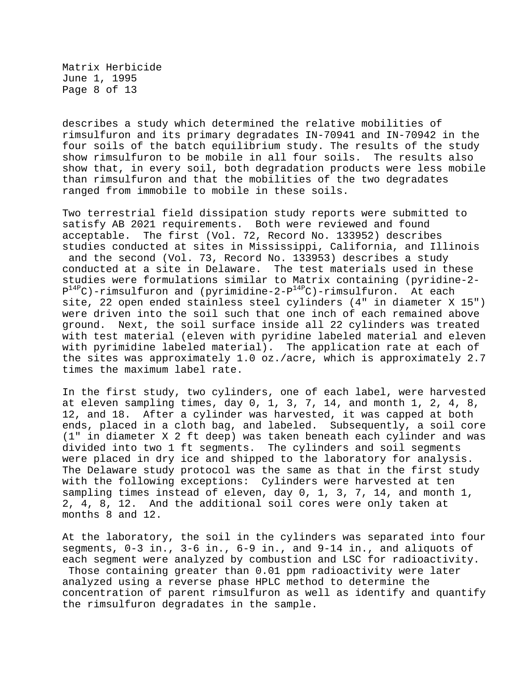Matrix Herbicide June 1, 1995 Page 8 of 13

describes a study which determined the relative mobilities of rimsulfuron and its primary degradates IN-70941 and IN-70942 in the four soils of the batch equilibrium study. The results of the study show rimsulfuron to be mobile in all four soils. The results also show that, in every soil, both degradation products were less mobile than rimsulfuron and that the mobilities of the two degradates ranged from immobile to mobile in these soils.

Two terrestrial field dissipation study reports were submitted to satisfy AB 2021 requirements. Both were reviewed and found acceptable. The first (Vol. 72, Record No. 133952) describes studies conducted at sites in Mississippi, California, and Illinois and the second (Vol. 73, Record No. 133953) describes a study conducted at a site in Delaware. The test materials used in these studies were formulations similar to Matrix containing (pyridine-2-  $P^{14P}C$ )-rimsulfuron and (pyrimidine-2- $P^{14P}C$ )-rimsulfuron. At each site, 22 open ended stainless steel cylinders (4" in diameter X 15") were driven into the soil such that one inch of each remained above ground. Next, the soil surface inside all 22 cylinders was treated with test material (eleven with pyridine labeled material and eleven with pyrimidine labeled material). The application rate at each of the sites was approximately 1.0 oz./acre, which is approximately 2.7 times the maximum label rate.

In the first study, two cylinders, one of each label, were harvested at eleven sampling times, day 0, 1, 3, 7, 14, and month 1, 2, 4, 8, 12, and 18. After a cylinder was harvested, it was capped at both ends, placed in a cloth bag, and labeled. Subsequently, a soil core (1" in diameter X 2 ft deep) was taken beneath each cylinder and was divided into two 1 ft segments. The cylinders and soil segments were placed in dry ice and shipped to the laboratory for analysis. The Delaware study protocol was the same as that in the first study with the following exceptions: Cylinders were harvested at ten sampling times instead of eleven, day 0, 1, 3, 7, 14, and month 1, 2, 4, 8, 12. And the additional soil cores were only taken at months 8 and 12.

At the laboratory, the soil in the cylinders was separated into four segments, 0-3 in., 3-6 in., 6-9 in., and 9-14 in., and aliquots of each segment were analyzed by combustion and LSC for radioactivity. Those containing greater than 0.01 ppm radioactivity were later analyzed using a reverse phase HPLC method to determine the concentration of parent rimsulfuron as well as identify and quantify the rimsulfuron degradates in the sample.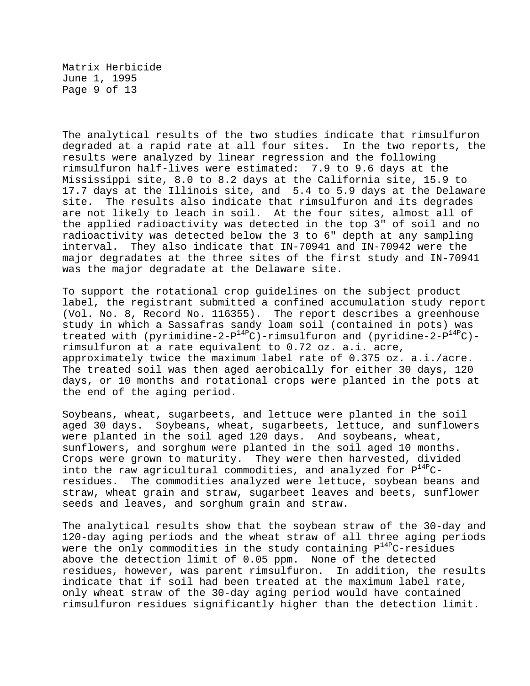Matrix Herbicide June 1, 1995 Page 9 of 13

The analytical results of the two studies indicate that rimsulfuron degraded at a rapid rate at all four sites. In the two reports, the results were analyzed by linear regression and the following rimsulfuron half-lives were estimated: 7.9 to 9.6 days at the Mississippi site, 8.0 to 8.2 days at the California site, 15.9 to 17.7 days at the Illinois site, and 5.4 to 5.9 days at the Delaware site. The results also indicate that rimsulfuron and its degrades are not likely to leach in soil. At the four sites, almost all of the applied radioactivity was detected in the top 3" of soil and no radioactivity was detected below the 3 to 6" depth at any sampling interval. They also indicate that IN-70941 and IN-70942 were the major degradates at the three sites of the first study and IN-70941 was the major degradate at the Delaware site.

To support the rotational crop guidelines on the subject product label, the registrant submitted a confined accumulation study report (Vol. No. 8, Record No. 116355). The report describes a greenhouse study in which a Sassafras sandy loam soil (contained in pots) was treated with (pyrimidine-2- $P^{14P}C$ )-rimsulfuron and (pyridine-2- $P^{14P}C$ )rimsulfuron at a rate equivalent to 0.72 oz. a.i. acre, approximately twice the maximum label rate of 0.375 oz. a.i./acre. The treated soil was then aged aerobically for either 30 days, 120 days, or 10 months and rotational crops were planted in the pots at the end of the aging period.

Soybeans, wheat, sugarbeets, and lettuce were planted in the soil aged 30 days. Soybeans, wheat, sugarbeets, lettuce, and sunflowers were planted in the soil aged 120 days. And soybeans, wheat, sunflowers, and sorghum were planted in the soil aged 10 months. Crops were grown to maturity. They were then harvested, divided into the raw agricultural commodities, and analyzed for  $P^{14P}C$ residues. The commodities analyzed were lettuce, soybean beans and straw, wheat grain and straw, sugarbeet leaves and beets, sunflower seeds and leaves, and sorghum grain and straw.

The analytical results show that the soybean straw of the 30-day and 120-day aging periods and the wheat straw of all three aging periods were the only commodities in the study containing  $P^{14P}C$ -residues above the detection limit of 0.05 ppm. None of the detected residues, however, was parent rimsulfuron. In addition, the results indicate that if soil had been treated at the maximum label rate, only wheat straw of the 30-day aging period would have contained rimsulfuron residues significantly higher than the detection limit.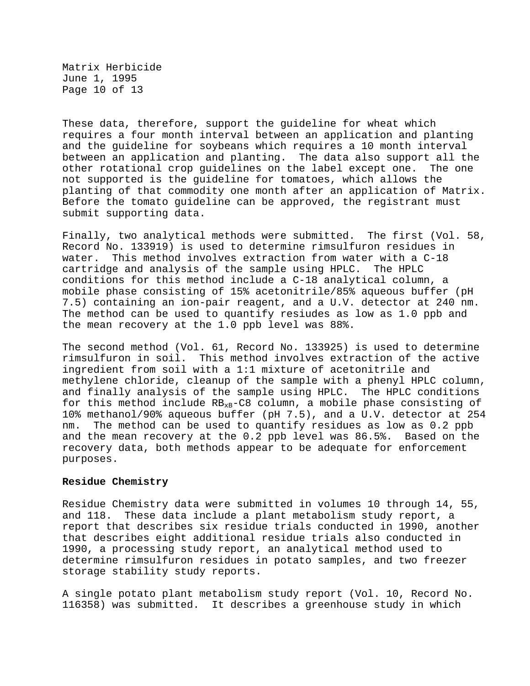Matrix Herbicide June 1, 1995 Page 10 of 13

These data, therefore, support the guideline for wheat which requires a four month interval between an application and planting and the guideline for soybeans which requires a 10 month interval between an application and planting. The data also support all the other rotational crop guidelines on the label except one. The one not supported is the guideline for tomatoes, which allows the planting of that commodity one month after an application of Matrix. Before the tomato guideline can be approved, the registrant must submit supporting data.

Finally, two analytical methods were submitted. The first (Vol. 58, Record No. 133919) is used to determine rimsulfuron residues in water. This method involves extraction from water with a C-18 cartridge and analysis of the sample using HPLC. The HPLC conditions for this method include a C-18 analytical column, a mobile phase consisting of 15% acetonitrile/85% aqueous buffer (pH 7.5) containing an ion-pair reagent, and a U.V. detector at 240 nm. The method can be used to quantify resiudes as low as 1.0 ppb and the mean recovery at the 1.0 ppb level was 88%.

The second method (Vol. 61, Record No. 133925) is used to determine rimsulfuron in soil. This method involves extraction of the active ingredient from soil with a 1:1 mixture of acetonitrile and methylene chloride, cleanup of the sample with a phenyl HPLC column, and finally analysis of the sample using HPLC. The HPLC conditions for this method include  $RB_{xB}-CB$  column, a mobile phase consisting of 10% methanol/90% aqueous buffer (pH 7.5), and a U.V. detector at 254 nm. The method can be used to quantify residues as low as 0.2 ppb and the mean recovery at the 0.2 ppb level was 86.5%. Based on the recovery data, both methods appear to be adequate for enforcement purposes.

#### **Residue Chemistry**

Residue Chemistry data were submitted in volumes 10 through 14, 55, and 118. These data include a plant metabolism study report, a report that describes six residue trials conducted in 1990, another that describes eight additional residue trials also conducted in 1990, a processing study report, an analytical method used to determine rimsulfuron residues in potato samples, and two freezer storage stability study reports.

A single potato plant metabolism study report (Vol. 10, Record No. 116358) was submitted. It describes a greenhouse study in which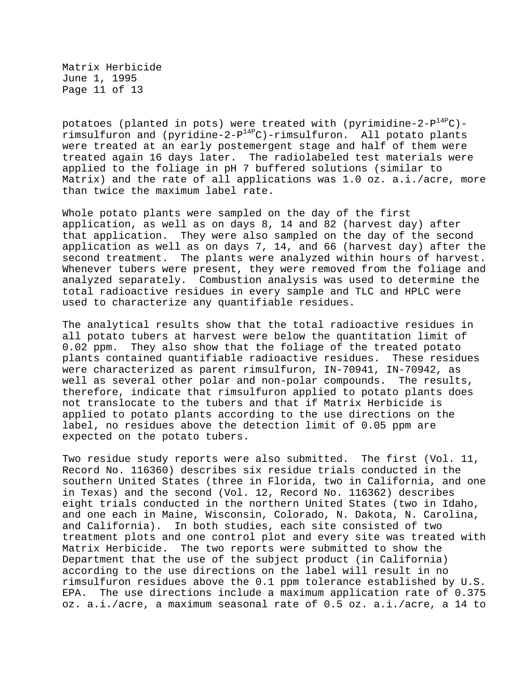Matrix Herbicide June 1, 1995 Page 11 of 13

potatoes (planted in pots) were treated with (pyrimidine-2- $P^{14P}C$ )rimsulfuron and (pyridine-2- $P^{14P}C$ )-rimsulfuron. All potato plants were treated at an early postemergent stage and half of them were treated again 16 days later. The radiolabeled test materials were applied to the foliage in pH 7 buffered solutions (similar to Matrix) and the rate of all applications was 1.0 oz. a.i./acre, more than twice the maximum label rate.

Whole potato plants were sampled on the day of the first application, as well as on days 8, 14 and 82 (harvest day) after that application. They were also sampled on the day of the second application as well as on days 7, 14, and 66 (harvest day) after the second treatment. The plants were analyzed within hours of harvest. Whenever tubers were present, they were removed from the foliage and analyzed separately. Combustion analysis was used to determine the total radioactive residues in every sample and TLC and HPLC were used to characterize any quantifiable residues.

The analytical results show that the total radioactive residues in all potato tubers at harvest were below the quantitation limit of 0.02 ppm. They also show that the foliage of the treated potato plants contained quantifiable radioactive residues. These residues were characterized as parent rimsulfuron, IN-70941, IN-70942, as well as several other polar and non-polar compounds. The results, therefore, indicate that rimsulfuron applied to potato plants does not translocate to the tubers and that if Matrix Herbicide is applied to potato plants according to the use directions on the label, no residues above the detection limit of 0.05 ppm are expected on the potato tubers.

Two residue study reports were also submitted. The first (Vol. 11, Record No. 116360) describes six residue trials conducted in the southern United States (three in Florida, two in California, and one in Texas) and the second (Vol. 12, Record No. 116362) describes eight trials conducted in the northern United States (two in Idaho, and one each in Maine, Wisconsin, Colorado, N. Dakota, N. Carolina, and California). In both studies, each site consisted of two treatment plots and one control plot and every site was treated with Matrix Herbicide. The two reports were submitted to show the Department that the use of the subject product (in California) according to the use directions on the label will result in no rimsulfuron residues above the 0.1 ppm tolerance established by U.S. EPA. The use directions include a maximum application rate of 0.375 oz. a.i./acre, a maximum seasonal rate of 0.5 oz. a.i./acre, a 14 to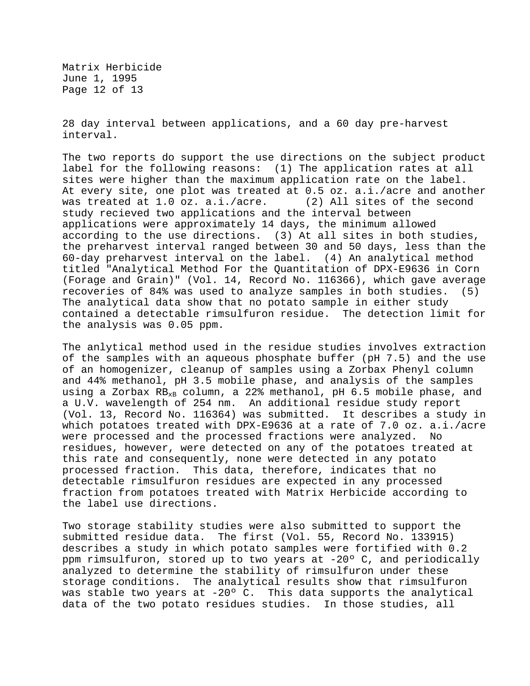Matrix Herbicide June 1, 1995 Page 12 of 13

28 day interval between applications, and a 60 day pre-harvest interval.

The two reports do support the use directions on the subject product label for the following reasons: (1) The application rates at all sites were higher than the maximum application rate on the label. At every site, one plot was treated at 0.5 oz. a.i./acre and another was treated at 1.0 oz. a.i./acre. (2) All sites of the second study recieved two applications and the interval between applications were approximately 14 days, the minimum allowed according to the use directions. (3) At all sites in both studies, the preharvest interval ranged between 30 and 50 days, less than the 60-day preharvest interval on the label. (4) An analytical method titled "Analytical Method For the Quantitation of DPX-E9636 in Corn (Forage and Grain)" (Vol. 14, Record No. 116366), which gave average recoveries of 84% was used to analyze samples in both studies. (5) The analytical data show that no potato sample in either study contained a detectable rimsulfuron residue. The detection limit for the analysis was 0.05 ppm.

The anlytical method used in the residue studies involves extraction of the samples with an aqueous phosphate buffer (pH 7.5) and the use of an homogenizer, cleanup of samples using a Zorbax Phenyl column and 44% methanol, pH 3.5 mobile phase, and analysis of the samples using a Zorbax  $RB_{xB}$  column, a 22% methanol, pH 6.5 mobile phase, and a U.V. wavelength of 254 nm. An additional residue study report (Vol. 13, Record No. 116364) was submitted. It describes a study in which potatoes treated with DPX-E9636 at a rate of 7.0 oz. a.i./acre were processed and the processed fractions were analyzed. No residues, however, were detected on any of the potatoes treated at this rate and consequently, none were detected in any potato processed fraction. This data, therefore, indicates that no detectable rimsulfuron residues are expected in any processed fraction from potatoes treated with Matrix Herbicide according to the label use directions.

Two storage stability studies were also submitted to support the submitted residue data. The first (Vol. 55, Record No. 133915) describes a study in which potato samples were fortified with 0.2 ppm rimsulfuron, stored up to two years at -20º C, and periodically analyzed to determine the stability of rimsulfuron under these storage conditions. The analytical results show that rimsulfuron was stable two years at -20º C. This data supports the analytical data of the two potato residues studies. In those studies, all